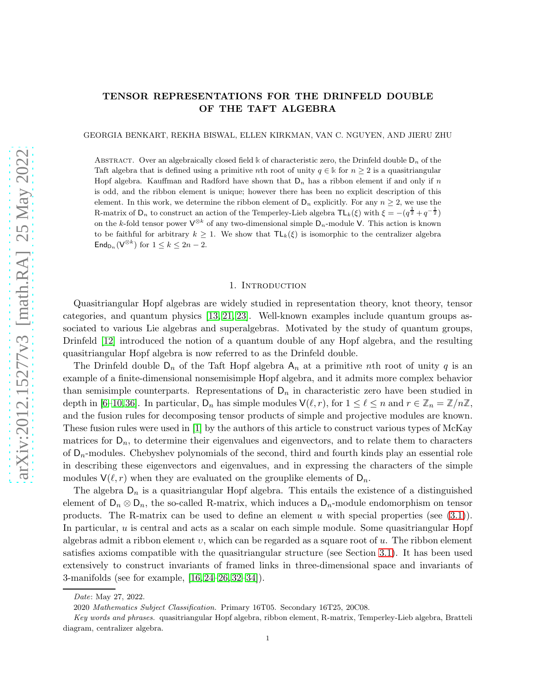# TENSOR REPRESENTATIONS FOR THE DRINFELD DOUBLE OF THE TAFT ALGEBRA

GEORGIA BENKART, REKHA BISWAL, ELLEN KIRKMAN, VAN C. NGUYEN, AND JIERU ZHU

ABSTRACT. Over an algebraically closed field  $\Bbbk$  of characteristic zero, the Drinfeld double  $D_n$  of the Taft algebra that is defined using a primitive nth root of unity  $q \in \mathbb{k}$  for  $n \geq 2$  is a quasitriangular Hopf algebra. Kauffman and Radford have shown that  $D_n$  has a ribbon element if and only if n is odd, and the ribbon element is unique; however there has been no explicit description of this element. In this work, we determine the ribbon element of  $D_n$  explicitly. For any  $n \geq 2$ , we use the R-matrix of  $D_n$  to construct an action of the Temperley-Lieb algebra  $TL_k(\xi)$  with  $\xi = -(q^{\frac{1}{2}} + q^{-\frac{1}{2}})$ on the k-fold tensor power  $\mathsf{V}^{\otimes k}$  of any two-dimensional simple  $\mathsf{D}_n$ -module V. This action is known to be faithful for arbitrary  $k \geq 1$ . We show that  $\mathsf{TL}_k(\xi)$  is isomorphic to the centralizer algebra  $\mathsf{End}_{\mathsf{D}_n}(\mathsf{V}^{\otimes k})$  for  $1 \leq k \leq 2n-2$ .

#### 1. Introduction

Quasitriangular Hopf algebras are widely studied in representation theory, knot theory, tensor categories, and quantum physics [\[13,](#page-25-0) [21,](#page-25-1) [23\]](#page-25-2). Well-known examples include quantum groups associated to various Lie algebras and superalgebras. Motivated by the study of quantum groups, Drinfeld [\[12\]](#page-25-3) introduced the notion of a quantum double of any Hopf algebra, and the resulting quasitriangular Hopf algebra is now referred to as the Drinfeld double.

The Drinfeld double  $D_n$  of the Taft Hopf algebra  $A_n$  at a primitive nth root of unity q is an example of a finite-dimensional nonsemisimple Hopf algebra, and it admits more complex behavior than semisimple counterparts. Representations of  $D_n$  in characteristic zero have been studied in depth in [\[6–](#page-25-4)[10,](#page-25-5)[36\]](#page-26-0). In particular,  $D_n$  has simple modules  $\mathsf{V}(\ell,r)$ , for  $1 \leq \ell \leq n$  and  $r \in \mathbb{Z}_n = \mathbb{Z}/n\mathbb{Z}$ , and the fusion rules for decomposing tensor products of simple and projective modules are known. These fusion rules were used in [\[1\]](#page-24-0) by the authors of this article to construct various types of McKay matrices for  $D_n$ , to determine their eigenvalues and eigenvectors, and to relate them to characters of  $D_n$ -modules. Chebyshev polynomials of the second, third and fourth kinds play an essential role in describing these eigenvectors and eigenvalues, and in expressing the characters of the simple modules  $\mathsf{V}(\ell,r)$  when they are evaluated on the grouplike elements of  $\mathsf{D}_n$ .

The algebra  $D_n$  is a quasitriangular Hopf algebra. This entails the existence of a distinguished element of  $D_n \otimes D_n$ , the so-called R-matrix, which induces a  $D_n$ -module endomorphism on tensor products. The R-matrix can be used to define an element u with special properties (see  $(3.1)$ ). In particular, u is central and acts as a scalar on each simple module. Some quasitriangular Hopf algebras admit a ribbon element  $v$ , which can be regarded as a square root of  $u$ . The ribbon element satisfies axioms compatible with the quasitriangular structure (see Section [3.1\)](#page-4-1). It has been used extensively to construct invariants of framed links in three-dimensional space and invariants of 3-manifolds (see for example, [\[16,](#page-25-6) [24–](#page-25-7)[26,](#page-25-8) [32](#page-26-1)[–34\]](#page-26-2)).

Date: May 27, 2022.

<sup>2020</sup> Mathematics Subject Classification. Primary 16T05. Secondary 16T25, 20C08.

Key words and phrases. quasitriangular Hopf algebra, ribbon element, R-matrix, Temperley-Lieb algebra, Bratteli diagram, centralizer algebra.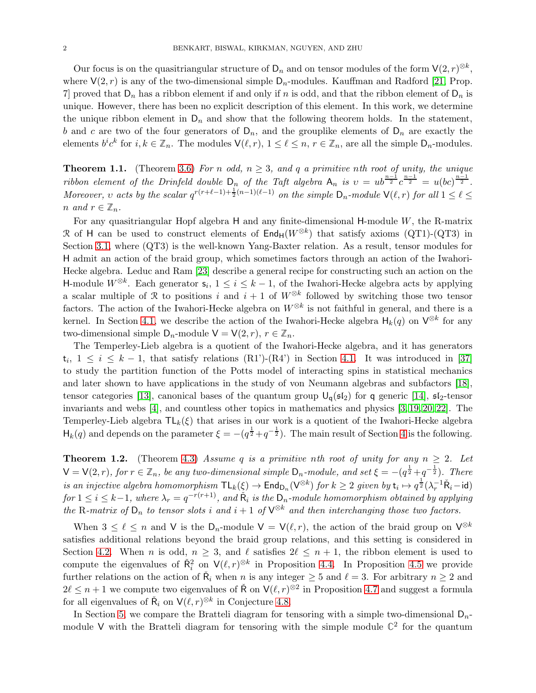Our focus is on the quasitriangular structure of  $\mathsf{D}_n$  and on tensor modules of the form  $\mathsf{V}(2,r)^{\otimes k}$ , where  $V(2, r)$  is any of the two-dimensional simple  $D_n$ -modules. Kauffman and Radford [\[21,](#page-25-1) Prop. 7 proved that  $D_n$  has a ribbon element if and only if n is odd, and that the ribbon element of  $D_n$  is unique. However, there has been no explicit description of this element. In this work, we determine the unique ribbon element in  $D_n$  and show that the following theorem holds. In the statement, b and c are two of the four generators of  $D_n$ , and the grouplike elements of  $D_n$  are exactly the elements  $b^i c^k$  for  $i, k \in \mathbb{Z}_n$ . The modules  $\mathsf{V}(\ell, r)$ ,  $1 \leq \ell \leq n$ ,  $r \in \mathbb{Z}_n$ , are all the simple  $\mathsf{D}_n$ -modules.

**Theorem 1.1.** (Theorem [3.6\)](#page-8-0) For n odd,  $n \geq 3$ , and q a primitive nth root of unity, the unique ribbon element of the Drinfeld double  $D_n$  of the Taft algebra  $A_n$  is  $v = ub^{\frac{n-1}{2}}c^{\frac{n-1}{2}} = u(bc)^{\frac{n-1}{2}}$ . Moreover, v acts by the scalar  $q^{r(r+\ell-1)+\frac{1}{2}(n-1)(\ell-1)}$  on the simple  $D_n$ -module  $\mathsf{V}(\ell,r)$  for all  $1 \leq \ell \leq$ n and  $r \in \mathbb{Z}_n$ .

For any quasitriangular Hopf algebra  $H$  and any finite-dimensional  $H$ -module  $W$ , the R-matrix R of H can be used to construct elements of  $\text{End}_{H}(W^{\otimes k})$  that satisfy axioms (QT1)-(QT3) in Section [3.1,](#page-4-1) where (QT3) is the well-known Yang-Baxter relation. As a result, tensor modules for H admit an action of the braid group, which sometimes factors through an action of the Iwahori-Hecke algebra. Leduc and Ram [\[23\]](#page-25-2) describe a general recipe for constructing such an action on the H-module  $W^{\otimes k}$ . Each generator  $\mathsf{s}_i, 1 \leq i \leq k-1$ , of the Iwahori-Hecke algebra acts by applying a scalar multiple of R to positions i and  $i + 1$  of  $W^{\otimes k}$  followed by switching those two tensor factors. The action of the Iwahori-Hecke algebra on  $W^{\otimes k}$  is not faithful in general, and there is a kernel. In Section [4.1,](#page-10-0) we describe the action of the Iwahori-Hecke algebra  $H_k(q)$  on  $V^{\otimes k}$  for any two-dimensional simple  $D_n$ -module  $V = V(2, r), r \in \mathbb{Z}_n$ .

The Temperley-Lieb algebra is a quotient of the Iwahori-Hecke algebra, and it has generators  $t_i, 1 \leq i \leq k-1$ , that satisfy relations (R1')-(R4') in Section [4.1.](#page-10-0) It was introduced in [\[37\]](#page-26-3) to study the partition function of the Potts model of interacting spins in statistical mechanics and later shown to have applications in the study of von Neumann algebras and subfactors [\[18\]](#page-25-9), tensor categories [\[13\]](#page-25-0), canonical bases of the quantum group  $U_q(\mathfrak{sl}_2)$  for q generic [\[14\]](#page-25-10),  $\mathfrak{sl}_2$ -tensor invariants and webs [\[4\]](#page-25-11), and countless other topics in mathematics and physics [\[3,](#page-25-12) [19,](#page-25-13) [20,](#page-25-14) [22\]](#page-25-15). The Temperley-Lieb algebra  $TL_k(\xi)$  that arises in our work is a quotient of the Iwahori-Hecke algebra  $H_k(q)$  and depends on the parameter  $\xi = -(q^{\frac{1}{2}} + q^{-\frac{1}{2}})$ . The main result of Section [4](#page-10-1) is the following.

**Theorem 1.2.** (Theorem [4.3\)](#page-13-0) Assume q is a primitive nth root of unity for any  $n \geq 2$ . Let  $\mathsf{V} = \mathsf{V}(2,r)$ , for  $r \in \mathbb{Z}_n$ , be any two-dimensional simple  $\mathsf{D}_n$ -module, and set  $\xi = -(q^{\frac{1}{2}} + q^{-\frac{1}{2}})$ . There is an injective algebra homomorphism  $TL_k(\xi) \to \text{End}_{\textsf{D}_n}(\textsf{V}^{\otimes k})$  for  $k \geq 2$  given by  $\mathsf{t}_i \mapsto q^{\frac{1}{2}}(\lambda_r^{-1}\tilde{\textsf{R}}_i - \textsf{id})$  $for 1 \leq i \leq k-1, where \lambda_r = q^{-r(r+1)}$ , and  $\tilde{R}_i$  is the  $D_n$ -module homomorphism obtained by applying the R-matrix of  $D_n$  to tensor slots i and  $i+1$  of  $\mathsf{V}^{\otimes k}$  and then interchanging those two factors.

When  $3 \leq \ell \leq n$  and V is the  $D_n$ -module  $V = V(\ell, r)$ , the action of the braid group on  $V^{\otimes k}$ satisfies additional relations beyond the braid group relations, and this setting is considered in Section [4.2.](#page-14-0) When n is odd,  $n \geq 3$ , and  $\ell$  satisfies  $2\ell \leq n+1$ , the ribbon element is used to compute the eigenvalues of  $\check{R}_i^2$  on  $V(\ell,r)^{\otimes k}$  in Proposition [4.4.](#page-14-1) In Proposition [4.5](#page-14-2) we provide further relations on the action of  $\check{R}_i$  when  $n \text{ is any integer } \geq 5$  and  $\ell = 3$ . For arbitrary  $n \geq 2$  and  $2\ell \leq n+1$  we compute two eigenvalues of  $\check{\mathsf{R}}$  on  $\mathsf{V}(\ell,r)^{\otimes 2}$  in Proposition [4.7](#page-16-0) and suggest a formula for all eigenvalues of  $\check{R}_i$  on  $\mathsf{V}(\ell,r)^{\otimes k}$  in Conjecture [4.8.](#page-16-1)

In Section [5,](#page-16-2) we compare the Bratteli diagram for tensoring with a simple two-dimensional  $D_n$ module  $V$  with the Bratteli diagram for tensoring with the simple module  $\mathbb{C}^2$  for the quantum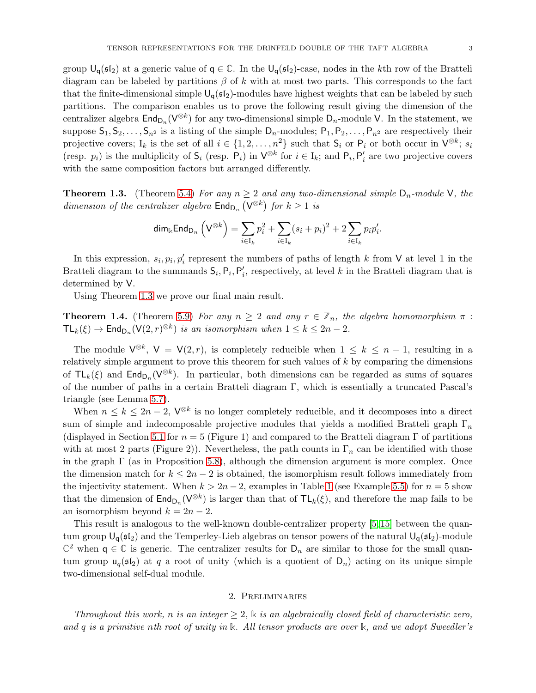group  $U_q(\mathfrak{sl}_2)$  at a generic value of  $q \in \mathbb{C}$ . In the  $U_q(\mathfrak{sl}_2)$ -case, nodes in the kth row of the Bratteli diagram can be labeled by partitions  $\beta$  of k with at most two parts. This corresponds to the fact that the finite-dimensional simple  $U_q(\mathfrak{sl}_2)$ -modules have highest weights that can be labeled by such partitions. The comparison enables us to prove the following result giving the dimension of the centralizer algebra  $\mathsf{End}_{\mathsf{D}_n}(\mathsf{V}^{\otimes k})$  for any two-dimensional simple  $\mathsf{D}_n$ -module V. In the statement, we suppose  $S_1, S_2, \ldots, S_{n^2}$  is a listing of the simple  $D_n$ -modules;  $P_1, P_2, \ldots, P_{n^2}$  are respectively their projective covers;  $I_k$  is the set of all  $i \in \{1, 2, ..., n^2\}$  such that  $S_i$  or  $P_i$  or both occur in  $\mathsf{V}^{\otimes k}$ ;  $s_i$ (resp.  $p_i$ ) is the multiplicity of  $S_i$  (resp.  $P_i$ ) in  $V^{\otimes k}$  for  $i \in I_k$ ; and  $P_i, P'_i$  are two projective covers with the same composition factors but arranged differently.

<span id="page-2-0"></span>**Theorem 1.3.** (Theorem [5.4\)](#page-20-0) For any  $n \geq 2$  and any two-dimensional simple  $D_n$ -module V, the dimension of the centralizer algebra  $\text{End}_{D_n}(\mathsf{V}^{\otimes k})$  for  $k \geq 1$  is

$$
\mathrm{dim}_{\Bbbk} \mathrm{End}_{\mathrm{D}_n}\left(\mathrm{V}^{\otimes k}\right) = \sum_{i \in \mathrm{I}_k} p_i^2 + \sum_{i \in \mathrm{I}_k} (s_i + p_i)^2 + 2 \sum_{i \in \mathrm{I}_k} p_i p_i'.
$$

In this expression,  $s_i, p_i, p'_i$  represent the numbers of paths of length k from V at level 1 in the Bratteli diagram to the summands  $S_i$ ,  $P_i$ ,  $P'_i$ , respectively, at level k in the Bratteli diagram that is determined by V.

Using Theorem [1.3](#page-2-0) we prove our final main result.

**Theorem 1.4.** (Theorem [5.9\)](#page-24-1) For any  $n \geq 2$  and any  $r \in \mathbb{Z}_n$ , the algebra homomorphism  $\pi$ :  $\mathsf{TL}_k(\xi) \to \mathsf{End}_{\mathsf{D}_n}(\mathsf{V}(2,r)^{\otimes k})$  is an isomorphism when  $1 \leq k \leq 2n-2$ .

The module  $\mathsf{V}^{\otimes k}$ ,  $\mathsf{V} = \mathsf{V}(2,r)$ , is completely reducible when  $1 \leq k \leq n-1$ , resulting in a relatively simple argument to prove this theorem for such values of  $k$  by comparing the dimensions of  $TL_k(\xi)$  and  $\text{End}_{D_n}(V^{\otimes k})$ . In particular, both dimensions can be regarded as sums of squares of the number of paths in a certain Bratteli diagram Γ, which is essentially a truncated Pascal's triangle (see Lemma [5.7\)](#page-21-0).

When  $n \leq k \leq 2n-2$ ,  $\mathsf{V}^{\otimes k}$  is no longer completely reducible, and it decomposes into a direct sum of simple and indecomposable projective modules that yields a modified Bratteli graph  $\Gamma_n$ (displayed in Section [5.1](#page-16-3) for  $n = 5$  (Figure 1) and compared to the Bratteli diagram  $\Gamma$  of partitions with at most 2 parts (Figure 2)). Nevertheless, the path counts in  $\Gamma_n$  can be identified with those in the graph  $\Gamma$  (as in Proposition [5.8\)](#page-22-0), although the dimension argument is more complex. Once the dimension match for  $k \leq 2n-2$  is obtained, the isomorphism result follows immediately from the injectivity statement. When  $k > 2n - 2$ , examples in Table [1](#page-21-1) (see Example [5.5\)](#page-20-1) for  $n = 5$  show that the dimension of  $\text{End}_{D_n}(V^{\otimes k})$  is larger than that of  $\text{TL}_k(\xi)$ , and therefore the map fails to be an isomorphism beyond  $k = 2n - 2$ .

This result is analogous to the well-known double-centralizer property [\[5,](#page-25-16) [15\]](#page-25-17) between the quantum group  $U_q(\mathfrak{sl}_2)$  and the Temperley-Lieb algebras on tensor powers of the natural  $U_q(\mathfrak{sl}_2)$ -module  $\mathbb{C}^2$  when  $\mathsf{q} \in \mathbb{C}$  is generic. The centralizer results for  $\mathsf{D}_n$  are similar to those for the small quantum group  $u_q(\mathfrak{sl}_2)$  at q a root of unity (which is a quotient of  $D_n$ ) acting on its unique simple two-dimensional self-dual module.

## 2. Preliminaries

<span id="page-2-1"></span>Throughout this work, n is an integer  $\geq 2$ , k is an algebraically closed field of characteristic zero, and q is a primitive nth root of unity in **k**. All tensor products are over **k**, and we adopt Sweedler's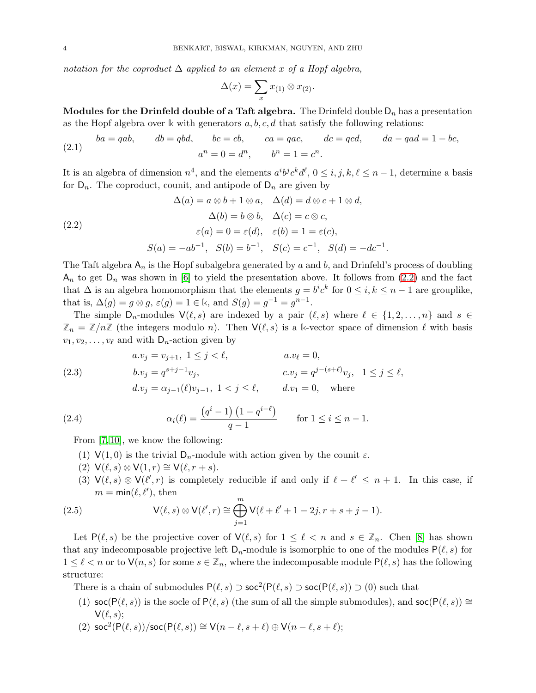notation for the coproduct  $\Delta$  applied to an element x of a Hopf algebra,

$$
\Delta(x) = \sum_{x} x_{(1)} \otimes x_{(2)}.
$$

Modules for the Drinfeld double of a Taft algebra. The Drinfeld double  $D_n$  has a presentation as the Hopf algebra over  $\Bbbk$  with generators  $a, b, c, d$  that satisfy the following relations:

(2.1) 
$$
ba = qab, \qquad db = qbd, \qquad bc = cb, \qquad ca = qac, \qquad dc = qcd, \qquad da - qad = 1 - bc,
$$

$$
a^n = 0 = d^n, \qquad b^n = 1 = c^n.
$$

It is an algebra of dimension  $n^4$ , and the elements  $a^i b^j c^k d^{\ell}$ ,  $0 \le i, j, k, \ell \le n-1$ , determine a basis for  $D_n$ . The coproduct, counit, and antipode of  $D_n$  are given by

<span id="page-3-0"></span>(2.2)  
\n
$$
\Delta(a) = a \otimes b + 1 \otimes a, \quad \Delta(d) = d \otimes c + 1 \otimes d,
$$
\n
$$
\Delta(b) = b \otimes b, \quad \Delta(c) = c \otimes c,
$$
\n
$$
\varepsilon(a) = 0 = \varepsilon(d), \quad \varepsilon(b) = 1 = \varepsilon(c),
$$
\n
$$
S(a) = -ab^{-1}, \quad S(b) = b^{-1}, \quad S(c) = c^{-1}, \quad S(d) = -dc^{-1}.
$$

The Taft algebra  $A_n$  is the Hopf subalgebra generated by a and b, and Drinfeld's process of doubling  $A_n$  to get  $D_n$  was shown in [\[6\]](#page-25-4) to yield the presentation above. It follows from [\(2.2\)](#page-3-0) and the fact that  $\Delta$  is an algebra homomorphism that the elements  $g = b^i c^k$  for  $0 \le i, k \le n-1$  are grouplike, that is,  $\Delta(g) = g \otimes g$ ,  $\varepsilon(g) = 1 \in \mathbb{k}$ , and  $S(g) = g^{-1} = g^{n-1}$ .

The simple  $D_n$ -modules  $\mathsf{V}(\ell,s)$  are indexed by a pair  $(\ell,s)$  where  $\ell \in \{1,2,\ldots,n\}$  and  $s \in \mathcal{S}$  $\mathbb{Z}_n = \mathbb{Z}/n\mathbb{Z}$  (the integers modulo n). Then  $\mathsf{V}(\ell, s)$  is a k-vector space of dimension  $\ell$  with basis  $v_1, v_2, \ldots, v_\ell$  and with  $\mathsf{D}_n$ -action given by

<span id="page-3-2"></span>(2.3)   
\n
$$
a.v_j = v_{j+1}, 1 \le j < \ell, \qquad a.v_{\ell} = 0,
$$
\n
$$
b.v_j = q^{s+j-1}v_j, \qquad c.v_j = q^{j-(s+\ell)}v_j, 1 \le j \le \ell,
$$
\n
$$
d.v_j = \alpha_{j-1}(\ell)v_{j-1}, 1 < j \le \ell, \qquad d.v_1 = 0, \text{ where}
$$

(2.4) 
$$
\alpha_i(\ell) = \frac{(q^i - 1) (1 - q^{i - \ell})}{q - 1} \quad \text{for } 1 \le i \le n - 1.
$$

From [\[7,](#page-25-18) [10\]](#page-25-5), we know the following:

- (1)  $V(1,0)$  is the trivial  $D_n$ -module with action given by the counit  $\varepsilon$ .
- (2)  $\mathsf{V}(\ell,s) \otimes \mathsf{V}(1,r) \cong \mathsf{V}(\ell,r+s).$
- <span id="page-3-1"></span>(3)  $\mathsf{V}(\ell,s) \otimes \mathsf{V}(\ell',r)$  is completely reducible if and only if  $\ell+\ell' \leq n+1$ . In this case, if  $m = \min(\ell, \ell'),$  then

(2.5) 
$$
V(\ell, s) \otimes V(\ell', r) \cong \bigoplus_{j=1}^{m} V(\ell + \ell' + 1 - 2j, r + s + j - 1).
$$

Let  $P(\ell, s)$  be the projective cover of  $\mathsf{V}(\ell, s)$  for  $1 \leq \ell < n$  and  $s \in \mathbb{Z}_n$ . Chen [\[8\]](#page-25-19) has shown that any indecomposable projective left  $D_n$ -module is isomorphic to one of the modules  $P(\ell, s)$  for  $1 \leq \ell < n$  or to  $\mathsf{V}(n, s)$  for some  $s \in \mathbb{Z}_n$ , where the indecomposable module  $\mathsf{P}(\ell, s)$  has the following structure:

There is a chain of submodules  $P(\ell, s) \supset \text{soc}^2(P(\ell, s) \supset \text{soc}(P(\ell, s)) \supset (0)$  such that

- (1) soc(P( $(\ell, s)$ ) is the socle of P( $(\ell, s)$ ) (the sum of all the simple submodules), and soc(P $(\ell, s)$ ) ≅  $V(\ell, s);$
- (2)  $\operatorname{\mathsf{soc}}^2(\mathsf{P}(\ell, s))/\operatorname{\mathsf{soc}}(\mathsf{P}(\ell, s)) \cong \mathsf{V}(n \ell, s + \ell) \oplus \mathsf{V}(n \ell, s + \ell);$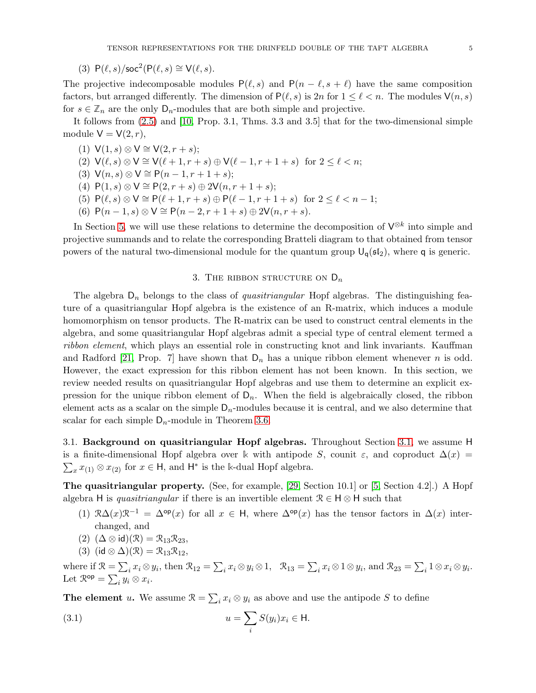The projective indecomposable modules  $P(\ell, s)$  and  $P(n - \ell, s + \ell)$  have the same composition factors, but arranged differently. The dimension of  $P(\ell, s)$  is  $2n$  for  $1 \leq \ell < n$ . The modules  $\mathsf{V}(n, s)$ for  $s \in \mathbb{Z}_n$  are the only  $D_n$ -modules that are both simple and projective.

It follows from [\(2.5\)](#page-3-1) and [\[10,](#page-25-5) Prop. 3.1, Thms. 3.3 and 3.5] that for the two-dimensional simple module  $V = V(2, r)$ ,

- (1)  $V(1, s) \otimes V \cong V(2, r + s);$
- (2)  $\mathsf{V}(\ell,s) \otimes \mathsf{V} \cong \mathsf{V}(\ell+1,r+s) \oplus \mathsf{V}(\ell-1,r+1+s)$  for  $2 \leq \ell < n$ ;
- (3)  $V(n, s) \otimes V \cong P(n-1, r+1+s);$
- (4)  $P(1, s) \otimes V \cong P(2, r + s) \oplus 2V(n, r + 1 + s);$
- (5)  $P(\ell, s) \otimes V \cong P(\ell+1, r+s) \oplus P(\ell-1, r+1+s)$  for  $2 \leq \ell < n-1$ ;
- (6)  $P(n-1, s) \otimes V \cong P(n-2, r+1+s) \oplus 2V(n, r+s).$

In Section [5,](#page-16-2) we will use these relations to determine the decomposition of  $\mathsf{V}^{\otimes k}$  into simple and projective summands and to relate the corresponding Bratteli diagram to that obtained from tensor powers of the natural two-dimensional module for the quantum group  $U_q(sI_2)$ , where q is generic.

### 3. THE RIBBON STRUCTURE ON  $D_n$

The algebra  $D_n$  belongs to the class of *quasitriangular* Hopf algebras. The distinguishing feature of a quasitriangular Hopf algebra is the existence of an R-matrix, which induces a module homomorphism on tensor products. The R-matrix can be used to construct central elements in the algebra, and some quasitriangular Hopf algebras admit a special type of central element termed a ribbon element, which plays an essential role in constructing knot and link invariants. Kauffman and Radford [\[21,](#page-25-1) Prop. 7] have shown that  $D_n$  has a unique ribbon element whenever n is odd. However, the exact expression for this ribbon element has not been known. In this section, we review needed results on quasitriangular Hopf algebras and use them to determine an explicit expression for the unique ribbon element of  $D_n$ . When the field is algebraically closed, the ribbon element acts as a scalar on the simple  $D_n$ -modules because it is central, and we also determine that scalar for each simple  $D_n$ -module in Theorem [3.6.](#page-8-0)

<span id="page-4-1"></span>3.1. Background on quasitriangular Hopf algebras. Throughout Section [3.1,](#page-4-1) we assume H is a finite-dimensional Hopf algebra over k with antipode S, counit  $\varepsilon$ , and coproduct  $\Delta(x)$  =  $\sum_{x} x_{(1)} \otimes x_{(2)}$  for  $x \in \mathsf{H}$ , and  $\mathsf{H}^*$  is the k-dual Hopf algebra.

The quasitriangular property. (See, for example, [\[29,](#page-25-20) Section 10.1] or [\[5,](#page-25-16) Section 4.2].) A Hopf algebra H is quasitriangular if there is an invertible element  $\mathcal{R} \in \mathsf{H} \otimes \mathsf{H}$  such that

- (1)  $\Re\Delta(x)\Re^{-1} = \Delta^{\mathsf{op}}(x)$  for all  $x \in \mathsf{H}$ , where  $\Delta^{\mathsf{op}}(x)$  has the tensor factors in  $\Delta(x)$  interchanged, and
- $(2)$   $(\Delta \otimes id)(\mathcal{R}) = \mathcal{R}_{13}\mathcal{R}_{23},$
- <span id="page-4-0"></span>(3) (id  $\otimes \Delta$ )( $\mathcal{R}$ ) =  $\mathcal{R}_{13}\mathcal{R}_{12}$ ,

where if  $\mathcal{R} = \sum_i x_i \otimes y_i$ , then  $\mathcal{R}_{12} = \sum_i x_i \otimes y_i \otimes 1$ ,  $\mathcal{R}_{13} = \sum_i x_i \otimes 1 \otimes y_i$ , and  $\mathcal{R}_{23} = \sum_i 1 \otimes x_i \otimes y_i$ . Let  $\mathcal{R}^{\mathsf{op}} = \sum_i y_i \otimes x_i.$ 

**The element** u. We assume  $\mathcal{R} = \sum_i x_i \otimes y_i$  as above and use the antipode S to define

(3.1) 
$$
u = \sum_{i} S(y_i) x_i \in \mathsf{H}.
$$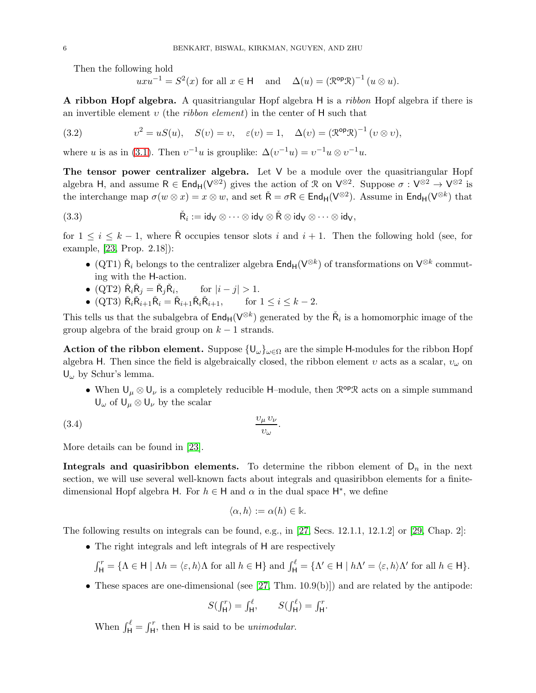Then the following hold

<span id="page-5-0"></span>
$$
uxu^{-1} = S^2(x)
$$
 for all  $x \in \mathsf{H}$  and  $\Delta(u) = (\mathbb{R}^{\mathsf{op}} \mathcal{R})^{-1} (u \otimes u)$ .

A ribbon Hopf algebra. A quasitriangular Hopf algebra H is a ribbon Hopf algebra if there is an invertible element v (the *ribbon element*) in the center of H such that

(3.2) 
$$
v^2 = uS(u), \quad S(v) = v, \quad \varepsilon(v) = 1, \quad \Delta(v) = (\mathcal{R}^{\mathsf{op}} \mathcal{R})^{-1} (v \otimes v),
$$

where u is as in [\(3.1\)](#page-4-0). Then  $v^{-1}u$  is grouplike:  $\Delta(v^{-1}u) = v^{-1}u \otimes v^{-1}u$ .

The tensor power centralizer algebra. Let  $V$  be a module over the quasitriangular Hopf algebra H, and assume  $R \in \text{End}_{H}(V^{\otimes 2})$  gives the action of  $\mathcal{R}$  on  $V^{\otimes 2}$ . Suppose  $\sigma : V^{\otimes 2} \to V^{\otimes 2}$  is the interchange map  $\sigma(w \otimes x) = x \otimes w$ , and set  $\check{\mathsf{R}} = \sigma \mathsf{R} \in \mathsf{End}_{\mathsf{H}}(\mathsf{V}^{\otimes 2})$ . Assume in  $\mathsf{End}_{\mathsf{H}}(\mathsf{V}^{\otimes k})$  that

(3.3) 
$$
\check{R}_i := id_V \otimes \cdots \otimes id_V \otimes \check{R} \otimes id_V \otimes \cdots \otimes id_V,
$$

for  $1 \leq i \leq k-1$ , where R occupies tensor slots i and  $i+1$ . Then the following hold (see, for example, [\[23,](#page-25-2) Prop. 2.18]):

- <span id="page-5-1"></span>• (QT1)  $\check{R}_i$  belongs to the centralizer algebra  $\text{End}_{H}(V^{\otimes k})$  of transformations on  $V^{\otimes k}$  commuting with the H-action.
- (QT2)  $\check{R}_i \check{R}_j = \check{R}_j \check{R}_i$ for  $|i - j| > 1$ .
- (QT3)  $\check{R}_i \check{R}_{i+1} \check{R}_i = \check{R}_{i+1} \check{R}_i \check{R}_{i+1}, \quad \text{for } 1 \le i \le k-2.$

This tells us that the subalgebra of  $\text{End}_{H}(V^{\otimes k})$  generated by the  $\check{R}_i$  is a homomorphic image of the group algebra of the braid group on  $k - 1$  strands.

**Action of the ribbon element.** Suppose  $\{U_{\omega}\}_{{\omega}\in\Omega}$  are the simple H-modules for the ribbon Hopf algebra H. Then since the field is algebraically closed, the ribbon element v acts as a scalar,  $v_{\omega}$  on  $U_{\omega}$  by Schur's lemma.

• When  $\cup_{\mu} \otimes \cup_{\nu}$  is a completely reducible H–module, then  $\mathcal{R}^{op}\mathcal{R}$  acts on a simple summand  $U_{\omega}$  of  $U_{\mu} \otimes U_{\nu}$  by the scalar

(3.4) <sup>υ</sup><sup>µ</sup> <sup>υ</sup><sup>ν</sup> υω .

More details can be found in [\[23\]](#page-25-2).

**Integrals and quasiribbon elements.** To determine the ribbon element of  $D_n$  in the next section, we will use several well-known facts about integrals and quasiribbon elements for a finitedimensional Hopf algebra H. For  $h \in H$  and  $\alpha$  in the dual space  $H^*$ , we define

<span id="page-5-2"></span>
$$
\langle \alpha, h \rangle := \alpha(h) \in \Bbbk.
$$

The following results on integrals can be found, e.g., in [\[27,](#page-25-21) Secs. 12.1.1, 12.1.2] or [\[29,](#page-25-20) Chap. 2]:

• The right integrals and left integrals of H are respectively

$$
\int_{\mathsf{H}}^r = \{ \Lambda \in \mathsf{H} \mid \Lambda h = \langle \varepsilon, h \rangle \Lambda \text{ for all } h \in \mathsf{H} \} \text{ and } \int_{\mathsf{H}}^{\ell} = \{ \Lambda' \in \mathsf{H} \mid h\Lambda' = \langle \varepsilon, h \rangle \Lambda' \text{ for all } h \in \mathsf{H} \}.
$$

• These spaces are one-dimensional (see  $[27, Thm. 10.9(b)]$ ) and are related by the antipode:

$$
S(\int_{\mathsf{H}}^r) = \int_{\mathsf{H}}^\ell, \qquad S(\int_{\mathsf{H}}^\ell) = \int_{\mathsf{H}}^r.
$$

When  $\int_{H}^{\ell} = \int_{H}^{r}$ , then H is said to be unimodular.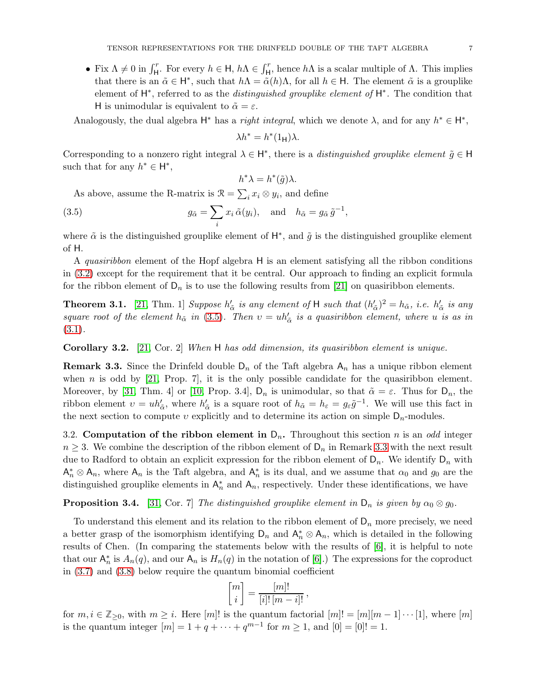• Fix  $\Lambda \neq 0$  in  $\int_{\mathsf{H}}^r$ . For every  $h \in \mathsf{H}$ ,  $h\Lambda \in \int_{\mathsf{H}}^r$ , hence  $h\Lambda$  is a scalar multiple of  $\Lambda$ . This implies that there is an  $\tilde{\alpha} \in H^*$ , such that  $h\Lambda = \tilde{\alpha}(h)\Lambda$ , for all  $h \in H$ . The element  $\tilde{\alpha}$  is a grouplike element of  $H^*$ , referred to as the *distinguished grouplike element of*  $H^*$ . The condition that H is unimodular is equivalent to  $\tilde{\alpha} = \varepsilon$ .

Analogously, the dual algebra  $H^*$  has a *right integral*, which we denote  $\lambda$ , and for any  $h^* \in H^*$ ,

$$
\lambda h^* = h^*(1_{\mathsf{H}})\lambda.
$$

Corresponding to a nonzero right integral  $\lambda \in H^*$ , there is a *distinguished grouplike element*  $\tilde{g} \in H$ such that for any  $h^* \in \mathsf{H}^*$ ,

<span id="page-6-0"></span>
$$
h^*\lambda = h^*(\tilde{g})\lambda.
$$

As above, assume the R-matrix is  $\mathcal{R} = \sum_i x_i \otimes y_i$ , and define

(3.5) 
$$
g_{\tilde{\alpha}} = \sum_{i} x_i \tilde{\alpha}(y_i), \text{ and } h_{\tilde{\alpha}} = g_{\tilde{\alpha}} \tilde{g}^{-1},
$$

where  $\tilde{\alpha}$  is the distinguished grouplike element of  $H^*$ , and  $\tilde{g}$  is the distinguished grouplike element of H.

A quasiribbon element of the Hopf algebra H is an element satisfying all the ribbon conditions in [\(3.2\)](#page-5-0) except for the requirement that it be central. Our approach to finding an explicit formula for the ribbon element of  $D_n$  is to use the following results from [\[21\]](#page-25-1) on quasiribbon elements.

**Theorem 3.1.** [\[21,](#page-25-1) Thm. 1] Suppose  $h'_{\tilde{\alpha}}$  is any element of H such that  $(h'_{\tilde{\alpha}})^2 = h_{\tilde{\alpha}}$ , i.e.  $h'_{\tilde{\alpha}}$  is any square root of the element  $h_{\tilde{\alpha}}$  in [\(3.5\)](#page-6-0). Then  $v = uh'_{\tilde{\alpha}}$  is a quasiribbon element, where u is as in [\(3.1\)](#page-4-0).

Corollary 3.2. [\[21,](#page-25-1) Cor. 2] When H has odd dimension, its quasiribbon element is unique.

<span id="page-6-1"></span>**Remark 3.3.** Since the Drinfeld double  $D_n$  of the Taft algebra  $A_n$  has a unique ribbon element when n is odd by  $[21,$  Prop. 7, it is the only possible candidate for the quasiribbon element. Moreover, by [\[31,](#page-26-4) Thm. 4] or [\[10,](#page-25-5) Prop. 3.4],  $D_n$  is unimodular, so that  $\tilde{\alpha} = \varepsilon$ . Thus for  $D_n$ , the ribbon element  $v = uh'_{\tilde{\alpha}}$ , where  $h'_{\tilde{\alpha}}$  is a square root of  $h_{\tilde{\alpha}} = h_{\varepsilon} = g_{\varepsilon} \tilde{g}^{-1}$ . We will use this fact in the next section to compute v explicitly and to determine its action on simple  $D_n$ -modules.

<span id="page-6-3"></span>3.2. Computation of the ribbon element in  $D_n$ . Throughout this section *n* is an *odd* integer  $n \geq 3$ . We combine the description of the ribbon element of  $\mathsf{D}_n$  in Remark [3.3](#page-6-1) with the next result due to Radford to obtain an explicit expression for the ribbon element of  $D_n$ . We identify  $D_n$  with  $A_n^* \otimes A_n$ , where  $A_n$  is the Taft algebra, and  $A_n^*$  is its dual, and we assume that  $\alpha_0$  and  $g_0$  are the distinguished grouplike elements in  $\mathsf{A}_n^*$  and  $\mathsf{A}_n$ , respectively. Under these identifications, we have

<span id="page-6-2"></span>**Proposition 3.4.** [\[31,](#page-26-4) Cor. 7] The distinguished grouplike element in  $D_n$  is given by  $\alpha_0 \otimes g_0$ .

To understand this element and its relation to the ribbon element of  $D_n$  more precisely, we need a better grasp of the isomorphism identifying  $D_n$  and  $\mathsf{A}_n^* \otimes \mathsf{A}_n$ , which is detailed in the following results of Chen. (In comparing the statements below with the results of [\[6\]](#page-25-4), it is helpful to note that our  $\mathsf{A}_n^*$  is  $A_n(q)$ , and our  $\mathsf{A}_n$  is  $H_n(q)$  in the notation of [\[6\]](#page-25-4).) The expressions for the coproduct in [\(3.7\)](#page-7-0) and [\(3.8\)](#page-7-1) below require the quantum binomial coefficient

$$
\begin{bmatrix} m \\ i \end{bmatrix} = \frac{[m]!}{[i]! \, [m-i]!} \,,
$$

for  $m, i \in \mathbb{Z}_{\geq 0}$ , with  $m \geq i$ . Here  $[m]!$  is the quantum factorial  $[m]! = [m][m-1] \cdots [1]$ , where  $[m]$ is the quantum integer  $[m] = 1 + q + \dots + q^{m-1}$  for  $m \ge 1$ , and  $[0] = [0]! = 1$ .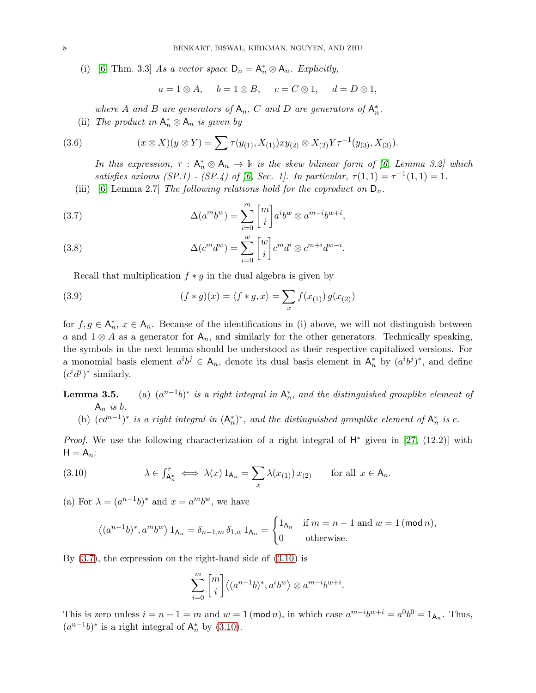(i) [\[6,](#page-25-4) Thm. 3.3] As a vector space  $D_n = A_n^* \otimes A_n$ . Explicitly,

$$
a = 1 \otimes A
$$
,  $b = 1 \otimes B$ ,  $c = C \otimes 1$ ,  $d = D \otimes 1$ ,

where A and B are generators of  $A_n$ , C and D are generators of  $A_n^*$ .

(ii) The product in  $A_n^* \otimes A_n$  is given by

<span id="page-7-4"></span>(3.6) 
$$
(x \otimes X)(y \otimes Y) = \sum \tau(y_{(1)}, X_{(1)}) xy_{(2)} \otimes X_{(2)} Y \tau^{-1}(y_{(3)}, X_{(3)}).
$$

In this expression,  $\tau : A_n^* \otimes A_n \to \mathbb{k}$  is the skew bilinear form of [\[6,](#page-25-4) Lemma 3.2] which satisfies axioms (SP.1) - (SP.4) of [\[6,](#page-25-4) Sec. 1]. In particular,  $\tau(1,1) = \tau^{-1}(1,1) = 1$ .

(iii) [\[6,](#page-25-4) Lemma 2.7] The following relations hold for the coproduct on  $D_n$ .

<span id="page-7-0"></span>(3.7) 
$$
\Delta(a^m b^w) = \sum_{i=0}^m \begin{bmatrix} m \\ i \end{bmatrix} a^i b^w \otimes a^{m-i} b^{w+i},
$$

<span id="page-7-1"></span>(3.8) 
$$
\Delta(c^m d^w) = \sum_{i=0}^w \begin{bmatrix} w \\ i \end{bmatrix} c^m d^i \otimes c^{m+i} d^{w-i}.
$$

Recall that multiplication  $f * g$  in the dual algebra is given by

<span id="page-7-3"></span>(3.9) 
$$
(f * g)(x) = \langle f * g, x \rangle = \sum_{x} f(x_{(1)}) g(x_{(2)})
$$

for  $f, g \in A_n^*$ ,  $x \in A_n$ . Because of the identifications in (i) above, we will not distinguish between a and  $1 \otimes A$  as a generator for  $A_n$ , and similarly for the other generators. Technically speaking, the symbols in the next lemma should be understood as their respective capitalized versions. For a monomial basis element  $a^i b^j \in A_n$ , denote its dual basis element in  $A_n^*$  by  $(a^i b^j)^*$ , and define  $(c^i d^j)^*$  similarly.

Lemma  $3.5.$  $(n-1)$ <sup>\*</sup> is a right integral in  $\mathsf{A}_n^*$ , and the distinguished grouplike element of  $A_n$  is b.

(b) 
$$
(cd^{n-1})^*
$$
 is a right integral in  $(A_n^*)^*$ , and the distinguished grouplike element of  $A_n^*$  is c.

*Proof.* We use the following characterization of a right integral of  $H^*$  given in [\[27,](#page-25-21) (12.2)] with  $H = A_n$ :

<span id="page-7-2"></span>(3.10) 
$$
\lambda \in \int_{\mathsf{A}_n^*}^r \iff \lambda(x) 1_{\mathsf{A}_n} = \sum_x \lambda(x_{(1)}) x_{(2)} \quad \text{for all } x \in \mathsf{A}_n.
$$

(a) For  $\lambda = (a^{n-1}b)^*$  and  $x = a^m b^w$ , we have

$$
\left\langle (a^{n-1}b)^*, a^m b^w \right\rangle 1_{\mathsf{A}_n} = \delta_{n-1,m} \, \delta_{1,w} \, 1_{\mathsf{A}_n} = \begin{cases} 1_{\mathsf{A}_n} & \text{if } m = n-1 \text{ and } w = 1 \, (\text{mod } n), \\ 0 & \text{otherwise.} \end{cases}
$$

By [\(3.7\)](#page-7-0), the expression on the right-hand side of [\(3.10\)](#page-7-2) is

$$
\sum_{i=0}^m \genfrac{[}{]}{0pt}{}{m}{i} \langle (a^{n-1}b)^*, a^i b^w \rangle \otimes a^{m-i}b^{w+i}.
$$

This is zero unless  $i = n - 1 = m$  and  $w = 1 \pmod{n}$ , in which case  $a^{m-i}b^{w+i} = a^0b^0 = 1_{A_n}$ . Thus,  $(a^{n-1}b)^*$  is a right integral of  $\mathsf{A}_n^*$  by [\(3.10\)](#page-7-2).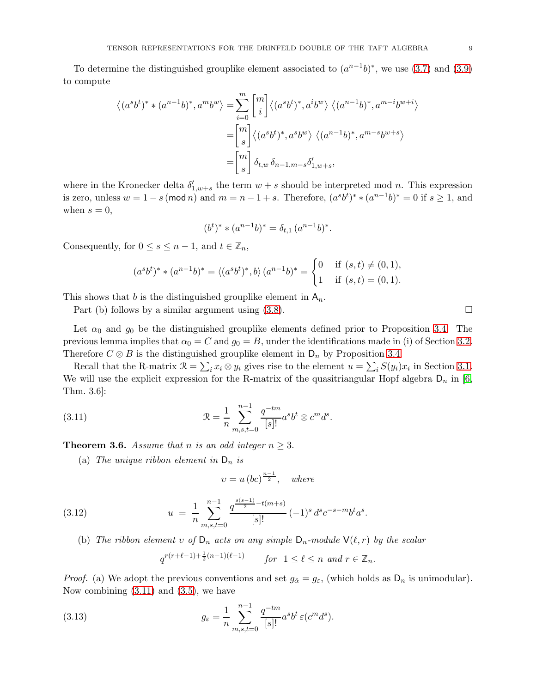To determine the distinguished grouplike element associated to  $(a^{n-1}b)^*$ , we use [\(3.7\)](#page-7-0) and [\(3.9\)](#page-7-3) to compute

$$
\langle (a^s b^t)^* * (a^{n-1} b)^*, a^m b^w \rangle = \sum_{i=0}^m \begin{bmatrix} m \\ i \end{bmatrix} \langle (a^s b^t)^*, a^i b^w \rangle \langle (a^{n-1} b)^*, a^{m-i} b^{w+i} \rangle
$$

$$
= \begin{bmatrix} m \\ s \end{bmatrix} \langle (a^s b^t)^*, a^s b^w \rangle \langle (a^{n-1} b)^*, a^{m-s} b^{w+s} \rangle
$$

$$
= \begin{bmatrix} m \\ s \end{bmatrix} \delta_{t,w} \delta_{n-1,m-s} \delta'_{1,w+s},
$$

where in the Kronecker delta  $\delta'_{1,w+s}$  the term  $w+s$  should be interpreted mod n. This expression is zero, unless  $w = 1 - s \pmod{n}$  and  $m = n - 1 + s$ . Therefore,  $(a^s b^t)^* * (a^{n-1} b)^* = 0$  if  $s \ge 1$ , and when  $s = 0$ ,

$$
(b^t)^* * (a^{n-1}b)^* = \delta_{t,1} (a^{n-1}b)^*.
$$

Consequently, for  $0 \leq s \leq n-1$ , and  $t \in \mathbb{Z}_n$ ,

$$
(a^s b^t)^* * (a^{n-1} b)^* = \langle (a^s b^t)^*, b \rangle (a^{n-1} b)^* = \begin{cases} 0 & \text{if } (s, t) \neq (0, 1), \\ 1 & \text{if } (s, t) = (0, 1). \end{cases}
$$

This shows that b is the distinguished grouplike element in  $A_n$ .

Part (b) follows by a similar argument using  $(3.8)$ .

Let  $\alpha_0$  and  $g_0$  be the distinguished grouplike elements defined prior to Proposition [3.4.](#page-6-2) The previous lemma implies that  $\alpha_0 = C$  and  $g_0 = B$ , under the identifications made in (i) of Section [3.2.](#page-6-3) Therefore  $C \otimes B$  is the distinguished grouplike element in  $D_n$  by Proposition [3.4.](#page-6-2)

Recall that the R-matrix  $\mathcal{R} = \sum_i x_i \otimes y_i$  gives rise to the element  $u = \sum_i S(y_i)x_i$  in Section [3.1.](#page-4-1) We will use the explicit expression for the R-matrix of the quasitriangular Hopf algebra  $D_n$  in [\[6,](#page-25-4) Thm. 3.6]:

<span id="page-8-1"></span>(3.11) 
$$
\mathcal{R} = \frac{1}{n} \sum_{m,s,t=0}^{n-1} \frac{q^{-tm}}{[s]!} a^s b^t \otimes c^m d^s.
$$

<span id="page-8-0"></span>**Theorem 3.6.** Assume that n is an odd integer  $n \geq 3$ .

(a) The unique ribbon element in  $D_n$  is

$$
v = u\left(bc\right)^{\frac{n-1}{2}}, \quad \text{where}
$$

<span id="page-8-2"></span>(3.12) 
$$
u = \frac{1}{n} \sum_{m,s,t=0}^{n-1} \frac{q^{\frac{s(s-1)}{2} - t(m+s)}}{[s]!} (-1)^s d^s c^{-s-m} b^t a^s.
$$

(b) The ribbon element v of  $D_n$  acts on any simple  $D_n$ -module  $\mathsf{V}(\ell,r)$  by the scalar

$$
q^{r(r+\ell-1)+\frac{1}{2}(n-1)(\ell-1)} \qquad for \ \ 1 \leq \ell \leq n \ \ and \ r \in \mathbb{Z}_n.
$$

*Proof.* (a) We adopt the previous conventions and set  $g_{\tilde{\alpha}} = g_{\varepsilon}$ , (which holds as  $D_n$  is unimodular). Now combining  $(3.11)$  and  $(3.5)$ , we have

(3.13) 
$$
g_{\varepsilon} = \frac{1}{n} \sum_{m,s,t=0}^{n-1} \frac{q^{-tm}}{[s]!} a^s b^t \, \varepsilon(c^m d^s).
$$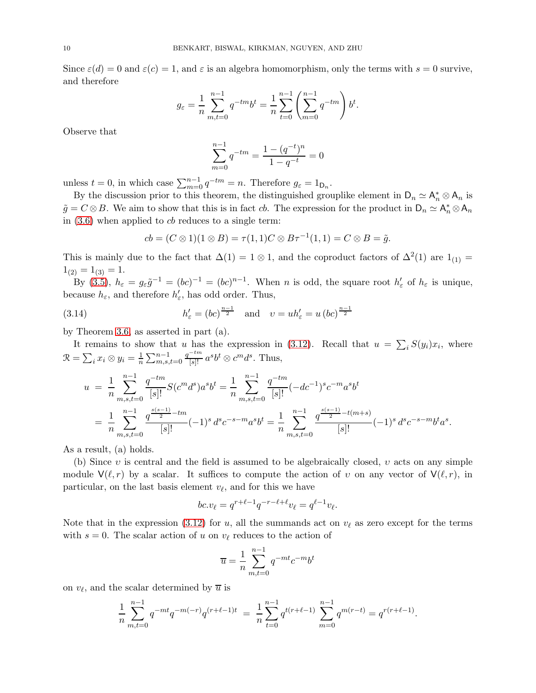Since  $\varepsilon(d) = 0$  and  $\varepsilon(c) = 1$ , and  $\varepsilon$  is an algebra homomorphism, only the terms with  $s = 0$  survive, and therefore

$$
g_{\varepsilon} = \frac{1}{n} \sum_{m,t=0}^{n-1} q^{-tm} b^t = \frac{1}{n} \sum_{t=0}^{n-1} \left( \sum_{m=0}^{n-1} q^{-tm} \right) b^t.
$$

Observe that

$$
\sum_{m=0}^{n-1} q^{-tm} = \frac{1 - (q^{-t})^n}{1 - q^{-t}} = 0
$$

unless  $t = 0$ , in which case  $\sum_{m=0}^{n-1} q^{-tm} = n$ . Therefore  $g_{\varepsilon} = 1_{\mathsf{D}_n}$ .

By the discussion prior to this theorem, the distinguished grouplike element in  $D_n \simeq A_n^* \otimes A_n$  is  $\tilde{g} = C \otimes B$ . We aim to show that this is in fact cb. The expression for the product in  $D_n \simeq A_n^* \otimes A_n$ in  $(3.6)$  when applied to *cb* reduces to a single term:

$$
cb = (C \otimes 1)(1 \otimes B) = \tau(1,1)C \otimes B\tau^{-1}(1,1) = C \otimes B = \tilde{g}.
$$

This is mainly due to the fact that  $\Delta(1) = 1 \otimes 1$ , and the coproduct factors of  $\Delta^2(1)$  are  $1_{(1)} =$  $1_{(2)} = 1_{(3)} = 1.$ 

By [\(3.5\)](#page-6-0),  $h_{\varepsilon} = g_{\varepsilon} \tilde{g}^{-1} = (bc)^{-1} = (bc)^{n-1}$ . When *n* is odd, the square root  $h'_{\varepsilon}$  of  $h_{\varepsilon}$  is unique, because  $h_{\varepsilon}$ , and therefore  $h'_{\varepsilon}$ , has odd order. Thus,

(3.14) 
$$
h'_{\varepsilon} = (bc)^{\frac{n-1}{2}}
$$
 and  $v = uh'_{\varepsilon} = u (bc)^{\frac{n-1}{2}}$ 

by Theorem [3.6,](#page-8-0) as asserted in part (a).

It remains to show that u has the expression in [\(3.12\)](#page-8-2). Recall that  $u = \sum_i S(y_i)x_i$ , where  $\mathcal{R} = \sum_i x_i \otimes y_i = \frac{1}{n} \sum_{m,s,t=0}^{n-1}$  $\frac{q^{-tm}}{[s]!} a^s b^t \otimes c^m d^s$ . Thus,

$$
u = \frac{1}{n} \sum_{m,s,t=0}^{n-1} \frac{q^{-tm}}{[s]!} S(c^m d^s) a^s b^t = \frac{1}{n} \sum_{m,s,t=0}^{n-1} \frac{q^{-tm}}{[s]!} (-dc^{-1})^s c^{-m} a^s b^t
$$
  
= 
$$
\frac{1}{n} \sum_{m,s,t=0}^{n-1} \frac{q^{\frac{s(s-1)}{2} - tm}}{[s]!} (-1)^s d^s c^{-s-m} a^s b^t = \frac{1}{n} \sum_{m,s,t=0}^{n-1} \frac{q^{\frac{s(s-1)}{2} - t(m+s)}}{[s]!} (-1)^s d^s c^{-s-m} b^t a^s.
$$

As a result, (a) holds.

(b) Since  $v$  is central and the field is assumed to be algebraically closed,  $v$  acts on any simple module  $\mathsf{V}(\ell,r)$  by a scalar. It suffices to compute the action of v on any vector of  $\mathsf{V}(\ell,r)$ , in particular, on the last basis element  $v_{\ell}$ , and for this we have

$$
bc. v_{\ell} = q^{r+\ell-1}q^{-r-\ell+\ell}v_{\ell} = q^{\ell-1}v_{\ell}.
$$

Note that in the expression [\(3.12\)](#page-8-2) for u, all the summands act on  $v_{\ell}$  as zero except for the terms with  $s = 0$ . The scalar action of u on  $v_{\ell}$  reduces to the action of

$$
\overline{u} = \frac{1}{n} \sum_{m,t=0}^{n-1} q^{-mt} c^{-m} b^t
$$

on  $v_{\ell}$ , and the scalar determined by  $\overline{u}$  is

$$
\frac{1}{n} \sum_{m,t=0}^{n-1} q^{-mt} q^{-m(-r)} q^{(r+\ell-1)t} = \frac{1}{n} \sum_{t=0}^{n-1} q^{t(r+\ell-1)} \sum_{m=0}^{n-1} q^{m(r-t)} = q^{r(r+\ell-1)}.
$$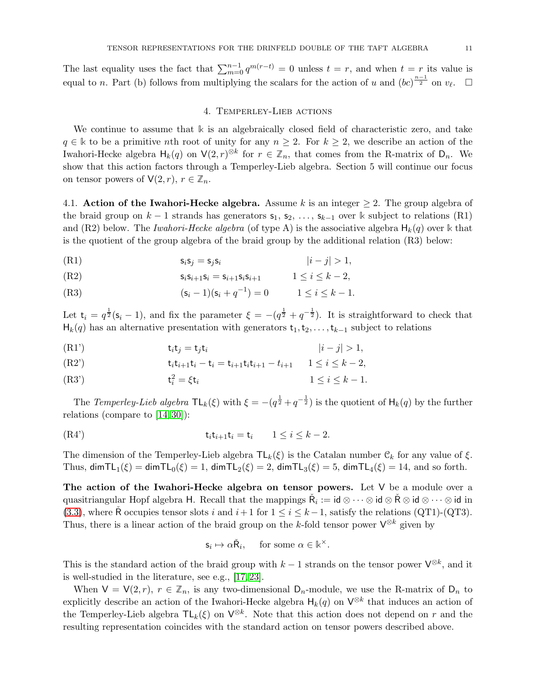<span id="page-10-1"></span>The last equality uses the fact that  $\sum_{m=0}^{n-1} q^{m(r-t)} = 0$  unless  $t = r$ , and when  $t = r$  its value is equal to n. Part (b) follows from multiplying the scalars for the action of u and  $(bc)^{\frac{n-1}{2}}$  on  $v_{\ell}$ .  $\Box$ 

## 4. Temperley-Lieb actions

We continue to assume that  $\Bbbk$  is an algebraically closed field of characteristic zero, and take  $q \in \mathbb{k}$  to be a primitive nth root of unity for any  $n \geq 2$ . For  $k \geq 2$ , we describe an action of the Iwahori-Hecke algebra  $H_k(q)$  on  $V(2, r)^{\otimes k}$  for  $r \in \mathbb{Z}_n$ , that comes from the R-matrix of  $D_n$ . We show that this action factors through a Temperley-Lieb algebra. Section 5 will continue our focus on tensor powers of  $V(2, r)$ ,  $r \in \mathbb{Z}_n$ .

<span id="page-10-0"></span>4.1. Action of the Iwahori-Hecke algebra. Assume k is an integer  $\geq$  2. The group algebra of the braid group on  $k-1$  strands has generators  $\mathsf{s}_1, \mathsf{s}_2, \ldots, \mathsf{s}_{k-1}$  over k subject to relations (R1) and (R2) below. The *Iwahori-Hecke algebra* (of type A) is the associative algebra  $H_k(q)$  over k that is the quotient of the group algebra of the braid group by the additional relation (R3) below:

- (R1)  $s_i s_j = s_j s_i$   $|i j| > 1,$
- (R2)  $s_i s_{i+1} s_i = s_{i+1} s_i s_{i+1} \qquad 1 \le i \le k-2,$

(R3) 
$$
(s_i - 1)(s_i + q^{-1}) = 0 \qquad 1 \le i \le k - 1.
$$

Let  $t_i = q^{\frac{1}{2}}(s_i - 1)$ , and fix the parameter  $\xi = -(q^{\frac{1}{2}} + q^{-\frac{1}{2}})$ . It is straightforward to check that  $H_k(q)$  has an alternative presentation with generators  $t_1, t_2, \ldots, t_{k-1}$  subject to relations

(R1') 
$$
\mathbf{t}_i \mathbf{t}_j = \mathbf{t}_j \mathbf{t}_i \qquad |i - j| > 1,
$$

(R2') 
$$
t_i t_{i+1} t_i - t_i = t_{i+1} t_i t_{i+1} - t_{i+1} \quad 1 \leq i \leq k-2,
$$

$$
(R3') \t t_i^2 = \xi t_i \t 1 \le i \le k - 1.
$$

The Temperley-Lieb algebra  $\mathsf{TL}_k(\xi)$  with  $\xi = -(q^{\frac{1}{2}} + q^{-\frac{1}{2}})$  is the quotient of  $\mathsf{H}_k(q)$  by the further relations (compare to [\[14,](#page-25-10) [30\]](#page-25-22)):

<span id="page-10-2"></span>
$$
t_i t_{i+1} t_i = t_i \qquad 1 \le i \le k-2.
$$

The dimension of the Temperley-Lieb algebra  $TL_k(\xi)$  is the Catalan number  $\mathcal{C}_k$  for any value of  $\xi$ . Thus,  $\dim TL_1(\xi) = \dim TL_0(\xi) = 1$ ,  $\dim TL_2(\xi) = 2$ ,  $\dim TL_3(\xi) = 5$ ,  $\dim TL_4(\xi) = 14$ , and so forth.

The action of the Iwahori-Hecke algebra on tensor powers. Let  $V$  be a module over a quasitriangular Hopf algebra H. Recall that the mappings  $\check{R}_i := \mathsf{id} \otimes \cdots \otimes \mathsf{id} \otimes \check{R} \otimes \mathsf{id} \otimes \cdots \otimes \mathsf{id}$  in [\(3.3\)](#page-5-1), where  $\check{\mathsf{R}}$  occupies tensor slots i and  $i+1$  for  $1 \leq i \leq k-1$ , satisfy the relations (QT1)-(QT3). Thus, there is a linear action of the braid group on the k-fold tensor power  $\mathsf{V}^{\otimes k}$  given by

$$
\mathsf{s}_i \mapsto \alpha \check{\mathsf{R}}_i, \quad \text{ for some } \alpha \in \mathbb{k}^\times.
$$

This is the standard action of the braid group with  $k-1$  strands on the tensor power  $\mathsf{V}^{\otimes k}$ , and it is well-studied in the literature, see e.g., [\[17,](#page-25-23) [23\]](#page-25-2).

When  $V = V(2, r)$ ,  $r \in \mathbb{Z}_n$ , is any two-dimensional  $D_n$ -module, we use the R-matrix of  $D_n$  to explicitly describe an action of the Iwahori-Hecke algebra  $H_k(q)$  on  $V^{\otimes k}$  that induces an action of the Temperley-Lieb algebra  $\mathsf{TL}_k(\xi)$  on  $\mathsf{V}^{\otimes k}$ . Note that this action does not depend on r and the resulting representation coincides with the standard action on tensor powers described above.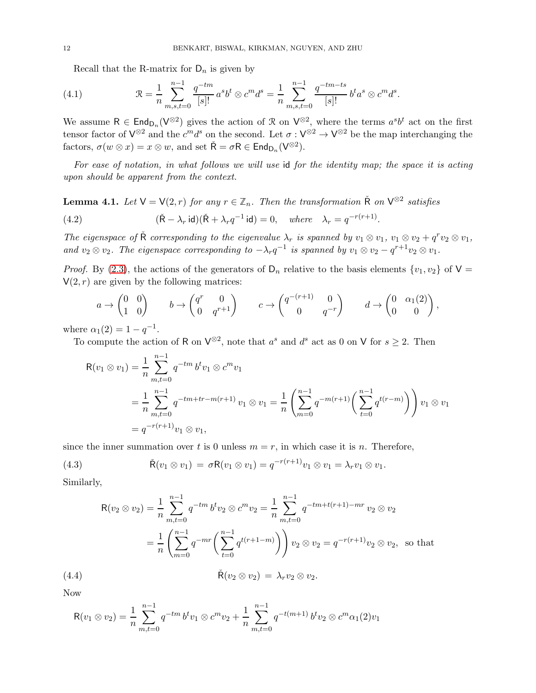Recall that the R-matrix for  $D_n$  is given by

(4.1) 
$$
\mathcal{R} = \frac{1}{n} \sum_{m,s,t=0}^{n-1} \frac{q^{-tm}}{[s]!} a^s b^t \otimes c^m d^s = \frac{1}{n} \sum_{m,s,t=0}^{n-1} \frac{q^{-tm-ts}}{[s]!} b^t a^s \otimes c^m d^s.
$$

We assume  $R \in \text{End}_{D_n}(V^{\otimes 2})$  gives the action of R on  $V^{\otimes 2}$ , where the terms  $a^s b^t$  act on the first tensor factor of  $V^{\otimes 2}$  and the  $c^m d^s$  on the second. Let  $\sigma: V^{\otimes 2} \to V^{\otimes 2}$  be the map interchanging the factors,  $\sigma(w \otimes x) = x \otimes w$ , and set  $\check{\mathsf{R}} = \sigma \mathsf{R} \in \mathsf{End}_{\mathsf{D}_n}(\mathsf{V}^{\otimes 2})$ .

For ease of notation, in what follows we will use id for the identity map; the space it is acting upon should be apparent from the context.

<span id="page-11-1"></span>**Lemma 4.1.** Let  $V = V(2, r)$  for any  $r \in \mathbb{Z}_n$ . Then the transformation  $\tilde{R}$  on  $V^{\otimes 2}$  satisfies

<span id="page-11-0"></span>(4.2) 
$$
(\tilde{R} - \lambda_r \operatorname{id})(\tilde{R} + \lambda_r q^{-1} \operatorname{id}) = 0, \quad \text{where} \quad \lambda_r = q^{-r(r+1)}
$$

The eigenspace of  $\check{R}$  corresponding to the eigenvalue  $\lambda_r$  is spanned by  $v_1 \otimes v_1$ ,  $v_1 \otimes v_2 + q^r v_2 \otimes v_1$ , and  $v_2 \otimes v_2$ . The eigenspace corresponding to  $-\lambda_r q^{-1}$  is spanned by  $v_1 \otimes v_2 - q^{r+1} v_2 \otimes v_1$ .

.

*Proof.* By [\(2.3\)](#page-3-2), the actions of the generators of  $D_n$  relative to the basis elements  $\{v_1, v_2\}$  of  $V =$  $V(2, r)$  are given by the following matrices:

$$
a \to \begin{pmatrix} 0 & 0 \\ 1 & 0 \end{pmatrix} \qquad b \to \begin{pmatrix} q^r & 0 \\ 0 & q^{r+1} \end{pmatrix} \qquad c \to \begin{pmatrix} q^{-(r+1)} & 0 \\ 0 & q^{-r} \end{pmatrix} \qquad d \to \begin{pmatrix} 0 & \alpha_1(2) \\ 0 & 0 \end{pmatrix},
$$

where  $\alpha_1(2) = 1 - q^{-1}$ .

To compute the action of R on  $\mathsf{V}^{\otimes 2}$ , note that  $a^s$  and  $d^s$  act as 0 on V for  $s \geq 2$ . Then

$$
R(v_1 \otimes v_1) = \frac{1}{n} \sum_{m,t=0}^{n-1} q^{-tm} b^t v_1 \otimes c^m v_1
$$
  
= 
$$
\frac{1}{n} \sum_{m,t=0}^{n-1} q^{-tm+tr-m(r+1)} v_1 \otimes v_1 = \frac{1}{n} \left( \sum_{m=0}^{n-1} q^{-m(r+1)} \left( \sum_{t=0}^{n-1} q^{t(r-m)} \right) \right) v_1 \otimes v_1
$$
  
= 
$$
q^{-r(r+1)} v_1 \otimes v_1,
$$

since the inner summation over t is 0 unless  $m = r$ , in which case it is n. Therefore,

(4.3) 
$$
\tilde{\mathsf{R}}(v_1 \otimes v_1) = \sigma \mathsf{R}(v_1 \otimes v_1) = q^{-r(r+1)}v_1 \otimes v_1 = \lambda_r v_1 \otimes v_1.
$$

Similarly,

$$
R(v_2 \otimes v_2) = \frac{1}{n} \sum_{m,t=0}^{n-1} q^{-tm} b^t v_2 \otimes c^m v_2 = \frac{1}{n} \sum_{m,t=0}^{n-1} q^{-tm+t(r+1)-mr} v_2 \otimes v_2
$$
  

$$
= \frac{1}{n} \left( \sum_{m=0}^{n-1} q^{-mr} \left( \sum_{t=0}^{n-1} q^{t(r+1-m)} \right) \right) v_2 \otimes v_2 = q^{-r(r+1)} v_2 \otimes v_2,
$$
 so that  
(4.4) 
$$
\tilde{R}(v_2 \otimes v_2) = \lambda_r v_2 \otimes v_2.
$$

Now

$$
R(v_1 \otimes v_2) = \frac{1}{n} \sum_{m,t=0}^{n-1} q^{-tm} b^t v_1 \otimes c^m v_2 + \frac{1}{n} \sum_{m,t=0}^{n-1} q^{-t(m+1)} b^t v_2 \otimes c^m \alpha_1(2) v_1
$$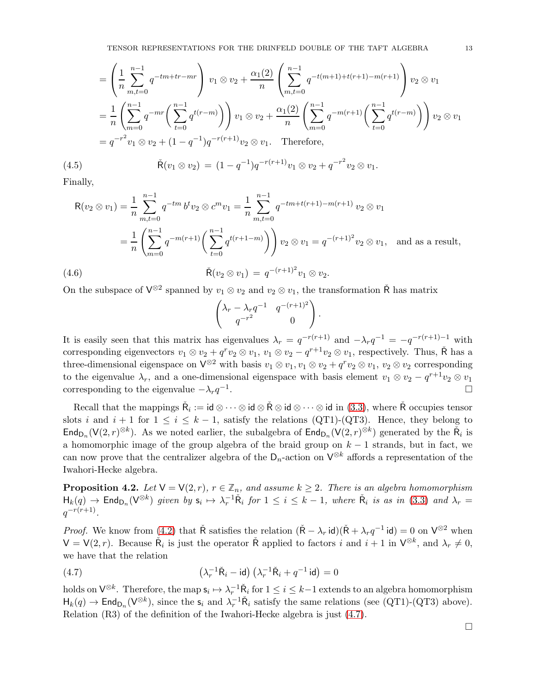$$
= \left(\frac{1}{n}\sum_{m,t=0}^{n-1} q^{-tm+tr-mr}\right) v_1 \otimes v_2 + \frac{\alpha_1(2)}{n} \left(\sum_{m,t=0}^{n-1} q^{-t(m+1)+t(r+1)-m(r+1)}\right) v_2 \otimes v_1
$$
  

$$
= \frac{1}{n} \left(\sum_{m=0}^{n-1} q^{-mr} \left(\sum_{t=0}^{n-1} q^{t(r-m)}\right)\right) v_1 \otimes v_2 + \frac{\alpha_1(2)}{n} \left(\sum_{m=0}^{n-1} q^{-m(r+1)} \left(\sum_{t=0}^{n-1} q^{t(r-m)}\right)\right) v_2 \otimes v_1
$$
  

$$
= q^{-r^2} v_1 \otimes v_2 + (1-q^{-1})q^{-r(r+1)} v_2 \otimes v_1.
$$
 Therefore,

(4.5) 
$$
\tilde{\mathsf{R}}(v_1 \otimes v_2) = (1 - q^{-1})q^{-r(r+1)}v_1 \otimes v_2 + q^{-r^2}v_2 \otimes v_1.
$$

Finally,

$$
\mathsf{R}(v_2 \otimes v_1) = \frac{1}{n} \sum_{m,t=0}^{n-1} q^{-tm} b^t v_2 \otimes c^m v_1 = \frac{1}{n} \sum_{m,t=0}^{n-1} q^{-tm+t(r+1)-m(r+1)} v_2 \otimes v_1
$$
  
= 
$$
\frac{1}{n} \left( \sum_{m=0}^{n-1} q^{-m(r+1)} \left( \sum_{t=0}^{n-1} q^{t(r+1-m)} \right) \right) v_2 \otimes v_1 = q^{-(r+1)^2} v_2 \otimes v_1, \text{ and as a result,}
$$
  
(4.6) 
$$
\tilde{\mathsf{R}}(v_2 \otimes v_1) = q^{-(r+1)^2} v_1 \otimes v_2.
$$

On the subspace of  $\mathsf{V}^{\otimes 2}$  spanned by  $v_1 \otimes v_2$  and  $v_2 \otimes v_1$ , the transformation  $\check{\mathsf{R}}$  has matrix

$$
\begin{pmatrix} \lambda_r - \lambda_r q^{-1} & q^{-(r+1)^2} \\ q^{-r^2} & 0 \end{pmatrix}.
$$

It is easily seen that this matrix has eigenvalues  $\lambda_r = q^{-r(r+1)}$  and  $-\lambda_r q^{-1} = -q^{-r(r+1)-1}$  with corresponding eigenvectors  $v_1 \otimes v_2 + q^r v_2 \otimes v_1$ ,  $v_1 \otimes v_2 - q^{r+1} v_2 \otimes v_1$ , respectively. Thus,  $\tilde{R}$  has a three-dimensional eigenspace on  $\mathsf{V}^{\otimes 2}$  with basis  $v_1 \otimes v_1, v_1 \otimes v_2 + q^r v_2 \otimes v_1, v_2 \otimes v_2$  corresponding to the eigenvalue  $\lambda_r$ , and a one-dimensional eigenspace with basis element  $v_1 \otimes v_2 - q^{r+1}v_2 \otimes v_1$ corresponding to the eigenvalue  $-\lambda_r q^{-1}$ . In the contract of the contract of the contract of the contract of the contract of the contract of the contract of the contract of the contract of the contract of the contract of the contract of the contract of the contr

Recall that the mappings  $\check{R}_i := id \otimes \cdots \otimes id \otimes \check{R} \otimes id \otimes \cdots \otimes id$  in [\(3.3\)](#page-5-1), where  $\check{R}$  occupies tensor slots i and  $i + 1$  for  $1 \leq i \leq k - 1$ , satisfy the relations (QT1)-(QT3). Hence, they belong to  $\mathsf{End}_{\mathsf{D}_n}(\mathsf{V}(2,r)^{\otimes k})$ . As we noted earlier, the subalgebra of  $\mathsf{End}_{\mathsf{D}_n}(\mathsf{V}(2,r)^{\otimes k})$  generated by the  $\check{\mathsf{R}}_i$  is a homomorphic image of the group algebra of the braid group on  $k-1$  strands, but in fact, we can now prove that the centralizer algebra of the  $D_n$ -action on  $\mathsf{V}^{\otimes k}$  affords a representation of the Iwahori-Hecke algebra.

<span id="page-12-1"></span>**Proposition 4.2.** Let  $V = V(2, r)$ ,  $r \in \mathbb{Z}_n$ , and assume  $k \geq 2$ . There is an algebra homomorphism  $H_k(q) \to \text{End}_{\text{D}_n}(V^{\otimes k})$  given by  $\mathsf{s}_i \mapsto \lambda_r^{-1} \check{\mathsf{R}}_i$  for  $1 \leq i \leq k-1$ , where  $\check{\mathsf{R}}_i$  is as in [\(3.3\)](#page-5-1) and  $\lambda_r =$  $q^{-r(r+1)}$ .

*Proof.* We know from [\(4.2\)](#page-11-0) that  $\check{\mathsf{R}}$  satisfies the relation  $(\check{\mathsf{R}} - \lambda_r \mathsf{id})(\check{\mathsf{R}} + \lambda_r q^{-1} \mathsf{id}) = 0$  on  $\mathsf{V}^{\otimes 2}$  when  $V = V(2, r)$ . Because  $\tilde{R}_i$  is just the operator  $\tilde{R}$  applied to factors i and  $i + 1$  in  $V^{\otimes k}$ , and  $\lambda_r \neq 0$ , we have that the relation

<span id="page-12-0"></span>(4.7) 
$$
\left(\lambda_r^{-1}\tilde{\mathsf{R}}_i - \mathsf{id}\right)\left(\lambda_r^{-1}\tilde{\mathsf{R}}_i + q^{-1}\mathsf{id}\right) = 0
$$

holds on  $\mathsf{V}^{\otimes k}$ . Therefore, the map  $\mathsf{s}_i \mapsto \lambda_r^{-1} \check{\mathsf{R}}_i$  for  $1 \leq i \leq k-1$  extends to an algebra homomorphism  $H_k(q) \to \text{End}_{D_n}(V^{\otimes k})$ , since the  $s_i$  and  $\lambda_r^{-1} \check{R}_i$  satisfy the same relations (see (QT1)-(QT3) above). Relation (R3) of the definition of the Iwahori-Hecke algebra is just [\(4.7\)](#page-12-0).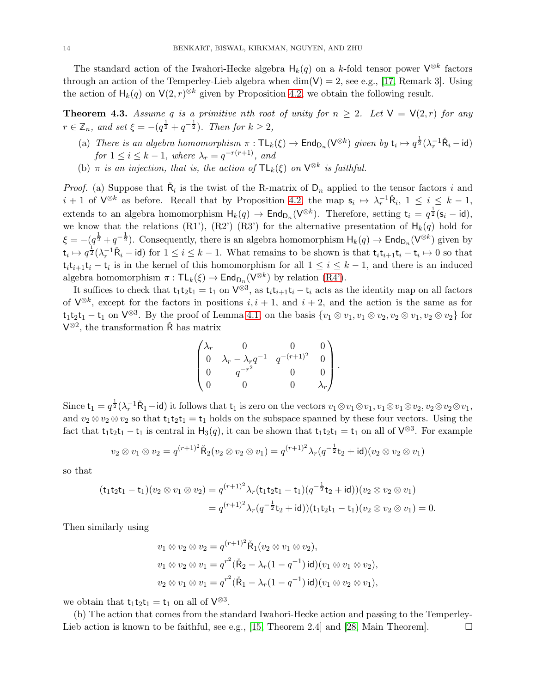The standard action of the Iwahori-Hecke algebra  $H_k(q)$  on a k-fold tensor power  $\mathsf{V}^{\otimes k}$  factors through an action of the Temperley-Lieb algebra when  $\dim(V) = 2$ , see e.g., [\[17,](#page-25-23) Remark 3]. Using the action of  $H_k(q)$  on  $V(2,r)^{\otimes k}$  given by Proposition [4.2,](#page-12-1) we obtain the following result.

<span id="page-13-0"></span>**Theorem 4.3.** Assume q is a primitive nth root of unity for  $n \geq 2$ . Let  $V = V(2,r)$  for any  $r \in \mathbb{Z}_n$ , and set  $\xi = -(q^{\frac{1}{2}} + q^{-\frac{1}{2}})$ . Then for  $k \geq 2$ ,

- (a) There is an algebra homomorphism  $\pi : \mathsf{TL}_k(\xi) \to \mathsf{End}_{\mathsf{D}_n}(\mathsf{V}^{\otimes k})$  given by  $\mathsf{t}_i \mapsto q^{\frac{1}{2}}(\lambda_i^{-1}\check{\mathsf{R}}_i \mathsf{id})$ for  $1 \leq i \leq k-1$ , where  $\lambda_r = q^{-r(r+1)}$ , and
- (b)  $\pi$  is an injection, that is, the action of  $TL_k(\xi)$  on  $\mathsf{V}^{\otimes k}$  is faithful.

*Proof.* (a) Suppose that  $\tilde{R}_i$  is the twist of the R-matrix of  $D_n$  applied to the tensor factors i and  $i + 1$  of  $\mathsf{V}^{\otimes k}$  as before. Recall that by Proposition [4.2,](#page-12-1) the map  $\mathsf{s}_i \mapsto \lambda_r^{-1} \check{\mathsf{R}}_i$ ,  $1 \leq i \leq k - 1$ , extends to an algebra homomorphism  $H_k(q) \to \text{End}_{\text{D}_n}(V^{\otimes k})$ . Therefore, setting  $t_i = q^{\frac{1}{2}}(s_i - id)$ , we know that the relations (R1'), (R2') (R3') for the alternative presentation of  $H_k(q)$  hold for  $\xi = -(q^{\frac{1}{2}} + q^{-\frac{1}{2}})$ . Consequently, there is an algebra homomorphism  $H_k(q) \to \text{End}_{D_n}(V^{\otimes k})$  given by  $\mathsf{t}_i \mapsto q^{\frac{1}{2}}(\lambda_r^{-1}\check{\mathsf{R}}_i - \mathsf{id})$  for  $1 \leq i \leq k-1$ . What remains to be shown is that  $\mathsf{t}_i\mathsf{t}_{i+1}\mathsf{t}_i - \mathsf{t}_i \mapsto 0$  so that  $\mathsf{t}_i \mathsf{t}_{i+1} \mathsf{t}_i - \mathsf{t}_i$  is in the kernel of this homomorphism for all  $1 \leq i \leq k-1$ , and there is an induced algebra homomorphism  $\pi : TL_k(\xi) \to End_{D_n}(V^{\otimes k})$  by relation  $(R4')$ .

It suffices to check that  $t_1t_2t_1 = t_1$  on  $\mathsf{V}^{\otimes 3}$ , as  $t_it_{i+1}t_i - t_i$  acts as the identity map on all factors of  $\mathsf{V}^{\otimes k}$ , except for the factors in positions  $i, i + 1$ , and  $i + 2$ , and the action is the same as for  $t_1 t_2 t_1 - t_1$  on  $V^{\otimes 3}$ . By the proof of Lemma [4.1,](#page-11-1) on the basis  $\{v_1 \otimes v_1, v_1 \otimes v_2, v_2 \otimes v_1, v_2 \otimes v_2\}$  for  $V^{\otimes 2}$ , the transformation  $\check{R}$  has matrix

$$
\begin{pmatrix} \lambda_r & 0 & 0 & 0 \\ 0 & \lambda_r - \lambda_r q^{-1} & q^{-(r+1)^2} & 0 \\ 0 & q^{-r^2} & 0 & 0 \\ 0 & 0 & 0 & \lambda_r \end{pmatrix}.
$$

Since  $t_1 = q^{\frac{1}{2}}(\lambda_r^{-1}\tilde{R}_1 - id)$  it follows that  $t_1$  is zero on the vectors  $v_1 \otimes v_1 \otimes v_1$ ,  $v_1 \otimes v_1 \otimes v_2 \otimes v_2 \otimes v_1$ , and  $v_2 \otimes v_2 \otimes v_2$  so that  $t_1t_2t_1 = t_1$  holds on the subspace spanned by these four vectors. Using the fact that  $t_1t_2t_1 - t_1$  is central in  $H_3(q)$ , it can be shown that  $t_1t_2t_1 = t_1$  on all of  $V^{\otimes 3}$ . For example

$$
v_2 \otimes v_1 \otimes v_2 = q^{(r+1)^2} \check{R}_2(v_2 \otimes v_2 \otimes v_1) = q^{(r+1)^2} \lambda_r (q^{-\frac{1}{2}} t_2 + id)(v_2 \otimes v_2 \otimes v_1)
$$

so that

$$
(\mathsf{t}_1 \mathsf{t}_2 \mathsf{t}_1 - \mathsf{t}_1)(v_2 \otimes v_1 \otimes v_2) = q^{(r+1)^2} \lambda_r (\mathsf{t}_1 \mathsf{t}_2 \mathsf{t}_1 - \mathsf{t}_1)(q^{-\frac{1}{2}} \mathsf{t}_2 + \mathsf{id}))(v_2 \otimes v_2 \otimes v_1)
$$
  
=  $q^{(r+1)^2} \lambda_r (q^{-\frac{1}{2}} \mathsf{t}_2 + \mathsf{id}))( \mathsf{t}_1 \mathsf{t}_2 \mathsf{t}_1 - \mathsf{t}_1)(v_2 \otimes v_2 \otimes v_1) = 0.$ 

Then similarly using

$$
v_1 \otimes v_2 \otimes v_2 = q^{(r+1)^2} \tilde{\mathsf{R}}_1(v_2 \otimes v_1 \otimes v_2),
$$
  
\n
$$
v_1 \otimes v_2 \otimes v_1 = q^{r^2} (\tilde{\mathsf{R}}_2 - \lambda_r (1 - q^{-1}) \mathsf{id}) (v_1 \otimes v_1 \otimes v_2),
$$
  
\n
$$
v_2 \otimes v_1 \otimes v_1 = q^{r^2} (\tilde{\mathsf{R}}_1 - \lambda_r (1 - q^{-1}) \mathsf{id}) (v_1 \otimes v_2 \otimes v_1),
$$

we obtain that  $t_1t_2t_1 = t_1$  on all of  $V^{\otimes 3}$ .

(b) The action that comes from the standard Iwahori-Hecke action and passing to the Temperley-Lieb action is known to be faithful, see e.g., [\[15,](#page-25-17) Theorem 2.4] and [\[28,](#page-25-24) Main Theorem].  $\Box$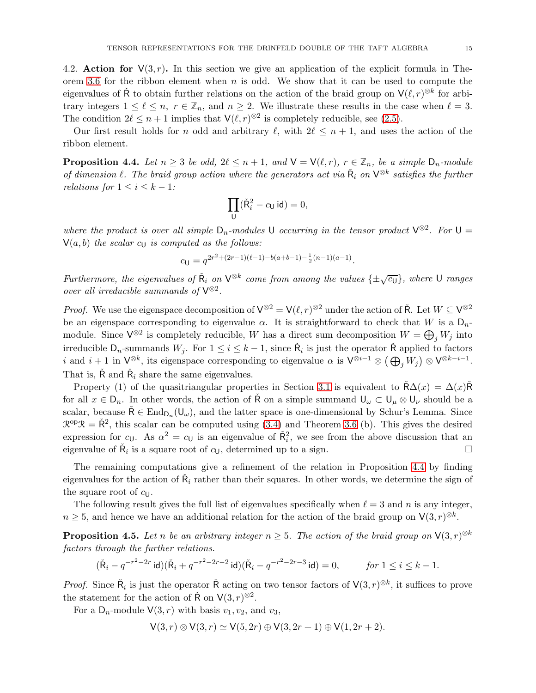<span id="page-14-0"></span>4.2. Action for  $V(3, r)$ . In this section we give an application of the explicit formula in The-orem [3.6](#page-8-0) for the ribbon element when  $n$  is odd. We show that it can be used to compute the eigenvalues of  $\check{R}$  to obtain further relations on the action of the braid group on  $V(\ell,r)^{\otimes k}$  for arbitrary integers  $1 \leq \ell \leq n$ ,  $r \in \mathbb{Z}_n$ , and  $n \geq 2$ . We illustrate these results in the case when  $\ell = 3$ . The condition  $2\ell \leq n+1$  implies that  $\mathsf{V}(\ell,r)^{\otimes 2}$  is completely reducible, see [\(2.5\)](#page-3-1).

Our first result holds for n odd and arbitrary  $\ell$ , with  $2\ell \leq n+1$ , and uses the action of the ribbon element.

<span id="page-14-1"></span>**Proposition 4.4.** Let  $n \geq 3$  be odd,  $2\ell \leq n+1$ , and  $\mathsf{V} = \mathsf{V}(\ell,r)$ ,  $r \in \mathbb{Z}_n$ , be a simple  $\mathsf{D}_n$ -module of dimension  $\ell$ . The braid group action where the generators act via  $\check{R}_i$  on  $V^{\otimes k}$  satisfies the further relations for  $1 \leq i \leq k - 1$ :

$$
\prod_{\mathsf{U}} (\check{\mathsf{R}}_i^2 - c_{\mathsf{U}} \,\mathsf{id}) = 0,
$$

where the product is over all simple  $D_n$ -modules U occurring in the tensor product  $V^{\otimes 2}$ . For  $U =$  $V(a, b)$  the scalar  $c<sub>U</sub>$  is computed as the follows:

$$
c_{\mathsf{U}} = q^{2r^2 + (2r-1)(\ell-1) - b(a+b-1) - \frac{1}{2}(n-1)(a-1)}.
$$

Furthermore, the eigenvalues of  $\check{R}_i$  on  $V^{\otimes k}$  come from among the values  $\{\pm \sqrt{c_0}\}\$ , where U ranges over all irreducible summands of  $V^{\otimes 2}$ .

*Proof.* We use the eigenspace decomposition of  $V^{\otimes 2} = V(\ell, r)^{\otimes 2}$  under the action of  $\check{\mathsf{R}}$ . Let  $W \subseteq V^{\otimes 2}$ be an eigenspace corresponding to eigenvalue  $\alpha$ . It is straightforward to check that W is a D<sub>n</sub>module. Since  $\mathsf{V}^{\otimes 2}$  is completely reducible, W has a direct sum decomposition  $W = \bigoplus_j W_j$  into irreducible  $D_n$ -summands  $W_j$ . For  $1 \leq i \leq k-1$ , since  $\tilde{R}_i$  is just the operator  $\tilde{R}$  applied to factors i and  $i + 1$  in  $\mathsf{V}^{\otimes k}$ , its eigenspace corresponding to eigenvalue  $\alpha$  is  $\mathsf{V}^{\otimes i-1} \otimes (\bigoplus_j W_j) \otimes \mathsf{V}^{\otimes k-i-1}$ . That is,  $\check{\mathsf{R}}$  and  $\check{\mathsf{R}}_i$  share the same eigenvalues.

Property (1) of the quasitriangular properties in Section [3.1](#page-4-1) is equivalent to  $\mathsf{RA}(x) = \Delta(x)\mathsf{R}^x$ for all  $x \in D_n$ . In other words, the action of R on a simple summand  $\bigcup_{\omega} \subset \bigcup_{\mu} \otimes \bigcup_{\nu}$  should be a scalar, because  $\check{\mathsf{R}} \in \text{End}_{\mathsf{D}_n}(\mathsf{U}_{\omega})$ , and the latter space is one-dimensional by Schur's Lemma. Since  $\mathcal{R}^{\text{op}}\mathcal{R} = \check{R}^2$ , this scalar can be computed using [\(3.4\)](#page-5-2) and Theorem [3.6](#page-8-0) (b). This gives the desired expression for  $c_U$ . As  $\alpha^2 = c_U$  is an eigenvalue of  $\tilde{R}_i^2$ , we see from the above discussion that an eigenvalue of  $\check{R}_i$  is a square root of  $c_{\mathsf{U}}$ , determined up to a sign.

The remaining computations give a refinement of the relation in Proposition [4.4](#page-14-1) by finding eigenvalues for the action of  $\check{R}_i$  rather than their squares. In other words, we determine the sign of the square root of  $c_{\text{U}}$ .

The following result gives the full list of eigenvalues specifically when  $\ell = 3$  and n is any integer,  $n \geq 5$ , and hence we have an additional relation for the action of the braid group on  $\mathsf{V}(3, r)^{\otimes k}$ .

<span id="page-14-2"></span>**Proposition 4.5.** Let n be an arbitrary integer  $n \geq 5$ . The action of the braid group on  $\mathsf{V}(3,r)^{\otimes k}$ factors through the further relations.

$$
(\check{\mathsf{R}}_i - q^{-r^2 - 2r} \mathsf{id}) (\check{\mathsf{R}}_i + q^{-r^2 - 2r - 2} \mathsf{id}) (\check{\mathsf{R}}_i - q^{-r^2 - 2r - 3} \mathsf{id}) = 0, \qquad \text{for } 1 \le i \le k - 1.
$$

*Proof.* Since  $\check{R}_i$  is just the operator  $\check{R}$  acting on two tensor factors of  $V(3, r)^{\otimes k}$ , it suffices to prove the statement for the action of  $\check{R}$  on  $V(3, r)^{\otimes 2}$ .

For a  $D_n$ -module  $V(3, r)$  with basis  $v_1, v_2$ , and  $v_3$ ,

$$
\mathsf{V}(3,r)\otimes\mathsf{V}(3,r)\simeq\mathsf{V}(5,2r)\oplus\mathsf{V}(3,2r+1)\oplus\mathsf{V}(1,2r+2).
$$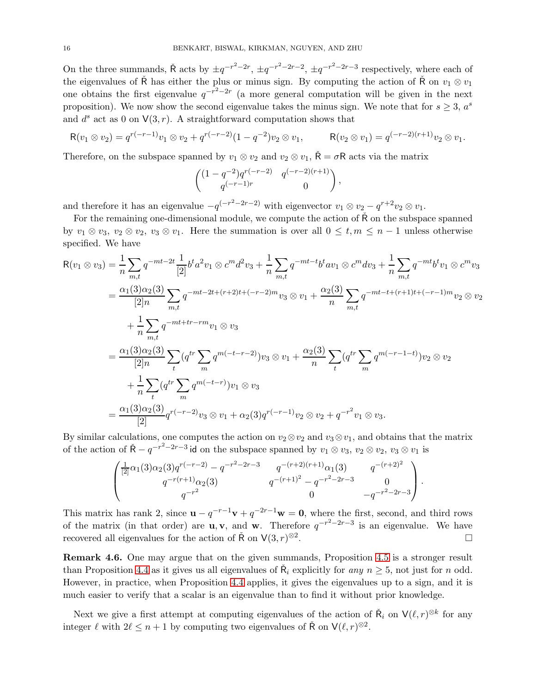On the three summands,  $\tilde{R}$  acts by  $\pm q^{-r^2-2r}$ ,  $\pm q^{-r^2-2r-2}$ ,  $\pm q^{-r^2-2r-3}$  respectively, where each of the eigenvalues of  $\check{R}$  has either the plus or minus sign. By computing the action of  $\check{R}$  on  $v_1 \otimes v_1$ one obtains the first eigenvalue  $q^{-r^2-2r}$  (a more general computation will be given in the next proposition). We now show the second eigenvalue takes the minus sign. We note that for  $s \geq 3$ ,  $a<sup>s</sup>$ and  $d^s$  act as 0 on  $V(3, r)$ . A straightforward computation shows that

$$
R(v_1 \otimes v_2) = q^{r(-r-1)}v_1 \otimes v_2 + q^{r(-r-2)}(1-q^{-2})v_2 \otimes v_1, \qquad R(v_2 \otimes v_1) = q^{(-r-2)(r+1)}v_2 \otimes v_1.
$$

Therefore, on the subspace spanned by  $v_1 \otimes v_2$  and  $v_2 \otimes v_1$ ,  $\tilde{\mathsf{R}} = \sigma \mathsf{R}$  acts via the matrix

$$
\begin{pmatrix} (1-q^{-2})q^{r(-r-2)} & q^{(-r-2)(r+1)} \ q^{(-r-1)r} & 0 \end{pmatrix},
$$

and therefore it has an eigenvalue  $-q^{(-r^2-2r-2)}$  with eigenvector  $v_1 \otimes v_2 - q^{r+2}v_2 \otimes v_1$ .

For the remaining one-dimensional module, we compute the action of  $\tilde{R}$  on the subspace spanned by  $v_1 \otimes v_3$ ,  $v_2 \otimes v_2$ ,  $v_3 \otimes v_1$ . Here the summation is over all  $0 \le t, m \le n-1$  unless otherwise specified. We have

$$
R(v_1 \otimes v_3) = \frac{1}{n} \sum_{m,t} q^{-mt - 2t} \frac{1}{[2]} b^t a^2 v_1 \otimes c^m d^2 v_3 + \frac{1}{n} \sum_{m,t} q^{-mt - t} b^t a v_1 \otimes c^m d v_3 + \frac{1}{n} \sum_{m,t} q^{-mt} b^t v_1 \otimes c^m v_3
$$
  
\n
$$
= \frac{\alpha_1(3)\alpha_2(3)}{[2]n} \sum_{m,t} q^{-mt - 2t + (r+2)t + (-r-2)m} v_3 \otimes v_1 + \frac{\alpha_2(3)}{n} \sum_{m,t} q^{-mt - t + (r+1)t + (-r-1)m} v_2 \otimes v_2
$$
  
\n
$$
+ \frac{1}{n} \sum_{m,t} q^{-mt + tr - rm} v_1 \otimes v_3
$$
  
\n
$$
= \frac{\alpha_1(3)\alpha_2(3)}{[2]n} \sum_t (q^{tr} \sum_m q^{m(-t-r-2)}) v_3 \otimes v_1 + \frac{\alpha_2(3)}{n} \sum_t (q^{tr} \sum_m q^{m(-r-1-t)}) v_2 \otimes v_2
$$
  
\n
$$
+ \frac{1}{n} \sum_t (q^{tr} \sum_m q^{m(-t-r)}) v_1 \otimes v_3
$$
  
\n
$$
= \frac{\alpha_1(3)\alpha_2(3)}{[2]} q^{r(-r-2)} v_3 \otimes v_1 + \alpha_2(3) q^{r(-r-1)} v_2 \otimes v_2 + q^{-r^2} v_1 \otimes v_3.
$$

By similar calculations, one computes the action on  $v_2 \otimes v_2$  and  $v_3 \otimes v_1$ , and obtains that the matrix of the action of  $\check{R} - q^{-r^2 - 2r - 3}$  id on the subspace spanned by  $v_1 \otimes v_3$ ,  $v_2 \otimes v_2$ ,  $v_3 \otimes v_1$  is

$$
\begin{pmatrix}\n\frac{1}{[2]}\alpha_1(3)\alpha_2(3)q^{r(-r-2)} - q^{-r^2-2r-3} & q^{-(r+2)(r+1)}\alpha_1(3) & q^{-(r+2)^2} \\
q^{-r(r+1)}\alpha_2(3) & q^{-(r+1)^2} - q^{-r^2-2r-3} & 0 \\
q^{-r^2} & 0 & -q^{-r^2-2r-3}\n\end{pmatrix}.
$$

This matrix has rank 2, since  $\mathbf{u} - q^{-r-1}\mathbf{v} + q^{-2r-1}\mathbf{w} = \mathbf{0}$ , where the first, second, and third rows of the matrix (in that order) are **u**, **v**, and **w**. Therefore  $q^{-r^2-2r-3}$  is an eigenvalue. We have recovered all eigenvalues for the action of  $\check{\mathsf{R}}$  on  $\mathsf{V}(3,r)^{\otimes 2}$ . В последните последните под последните и последните под последните и последните под последните под последните<br>В последните под последните под последните под под последните под под последните под под под под последните п

Remark 4.6. One may argue that on the given summands, Proposition [4.5](#page-14-2) is a stronger result than Proposition [4.4](#page-14-1) as it gives us all eigenvalues of  $\check{R}_i$  explicitly for any  $n \geq 5$ , not just for n odd. However, in practice, when Proposition [4.4](#page-14-1) applies, it gives the eigenvalues up to a sign, and it is much easier to verify that a scalar is an eigenvalue than to find it without prior knowledge.

Next we give a first attempt at computing eigenvalues of the action of  $\check{R}_i$  on  $V(\ell,r)^{\otimes k}$  for any integer  $\ell$  with  $2\ell \leq n+1$  by computing two eigenvalues of  $\check{\mathsf{R}}$  on  $\mathsf{V}(\ell,r)^{\otimes 2}$ .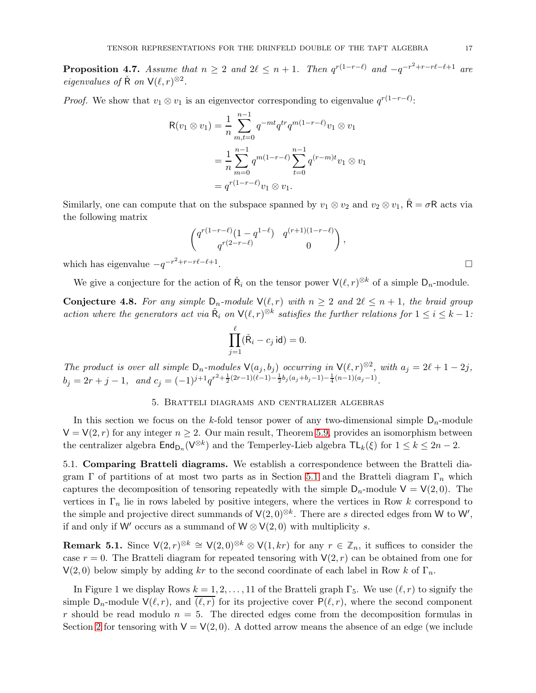<span id="page-16-0"></span>**Proposition 4.7.** Assume that  $n \geq 2$  and  $2\ell \leq n+1$ . Then  $q^{r(1-r-\ell)}$  and  $-q^{-r^2+r-r\ell-\ell+1}$  are eigenvalues of  $\check{R}$  on  $V(\ell, r)^{\otimes 2}$ .

*Proof.* We show that  $v_1 \otimes v_1$  is an eigenvector corresponding to eigenvalue  $q^{r(1-r-\ell)}$ :

$$
R(v_1 \otimes v_1) = \frac{1}{n} \sum_{m,t=0}^{n-1} q^{-mt} q^{tr} q^{m(1-r-\ell)} v_1 \otimes v_1
$$
  
= 
$$
\frac{1}{n} \sum_{m=0}^{n-1} q^{m(1-r-\ell)} \sum_{t=0}^{n-1} q^{(r-m)t} v_1 \otimes v_1
$$
  
= 
$$
q^{r(1-r-\ell)} v_1 \otimes v_1.
$$

Similarly, one can compute that on the subspace spanned by  $v_1 \otimes v_2$  and  $v_2 \otimes v_1$ ,  $\check{R} = \sigma R$  acts via the following matrix

$$
\begin{pmatrix} q^{r(1-r-\ell)}(1-q^{1-\ell}) & q^{(r+1)(1-r-\ell)} \ q^{r(2-r-\ell)} & 0 \end{pmatrix},
$$
  
-r $\ell - \ell + 1$ .

which has eigenvalue  $-q^{-r^2+r-r\ell-\ell+1}$ 

We give a conjecture for the action of  $\check{R}_i$  on the tensor power  $\mathsf{V}(\ell,r)^{\otimes k}$  of a simple  $\mathsf{D}_n$ -module.

<span id="page-16-1"></span>**Conjecture 4.8.** For any simple  $D_n$ -module  $\mathsf{V}(\ell,r)$  with  $n \geq 2$  and  $2\ell \leq n+1$ , the braid group action where the generators act via  $\tilde{R}_i$  on  $\mathsf{V}(\ell,r)^{\otimes k}$  satisfies the further relations for  $1 \leq i \leq k-1$ :

$$
\prod_{j=1}^{\ell} (\check{\mathsf{R}}_i - c_j \,\mathsf{id}) = 0.
$$

<span id="page-16-2"></span>The product is over all simple  $D_n$ -modules  $V(a_j, b_j)$  occurring in  $V(\ell, r)^{\otimes 2}$ , with  $a_j = 2\ell + 1 - 2j$ ,  $b_j = 2r + j - 1$ , and  $c_j = (-1)^{j+1} q^{r^2 + \frac{1}{2}(2r-1)(\ell-1) - \frac{1}{2}b_j(a_j + b_j - 1) - \frac{1}{4}(n-1)(a_j - 1)}$ .

#### 5. Bratteli diagrams and centralizer algebras

In this section we focus on the k-fold tensor power of any two-dimensional simple  $D_n$ -module  $V = V(2, r)$  for any integer  $n \geq 2$ . Our main result, Theorem [5.9,](#page-24-1) provides an isomorphism between the centralizer algebra  $\text{End}_{\mathsf{D}_n}(\mathsf{V}^{\otimes k})$  and the Temperley-Lieb algebra  $\mathsf{TL}_k(\xi)$  for  $1 \leq k \leq 2n-2$ .

<span id="page-16-4"></span>5.1. Comparing Bratteli diagrams. We establish a correspondence between the Bratteli dia-gram Γ of partitions of at most two parts as in Section [5.1](#page-16-4) and the Bratteli diagram  $\Gamma_n$  which captures the decomposition of tensoring repeatedly with the simple  $D_n$ -module  $V = V(2, 0)$ . The vertices in  $\Gamma_n$  lie in rows labeled by positive integers, where the vertices in Row k correspond to the simple and projective direct summands of  $V(2,0)^{\otimes k}$ . There are s directed edges from W to W', if and only if W′ occurs as a summand of  $W \otimes V(2,0)$  with multiplicity s.

<span id="page-16-3"></span>**Remark 5.1.** Since  $\mathsf{V}(2, r)^{\otimes k} \cong \mathsf{V}(2, 0)^{\otimes k} \otimes \mathsf{V}(1, kr)$  for any  $r \in \mathbb{Z}_n$ , it suffices to consider the case  $r = 0$ . The Bratteli diagram for repeated tensoring with  $\mathsf{V}(2, r)$  can be obtained from one for  $V(2,0)$  below simply by adding kr to the second coordinate of each label in Row k of  $\Gamma_n$ .

In Figure 1 we display Rows  $k = 1, 2, ..., 11$  of the Bratteli graph  $\Gamma_5$ . We use  $(\ell, r)$  to signify the simple  $D_n$ -module  $V(\ell, r)$ , and  $\overline{(\ell, r)}$  for its projective cover  $P(\ell, r)$ , where the second component r should be read modulo  $n = 5$ . The directed edges come from the decomposition formulas in Section [2](#page-2-1) for tensoring with  $V = V(2, 0)$ . A dotted arrow means the absence of an edge (we include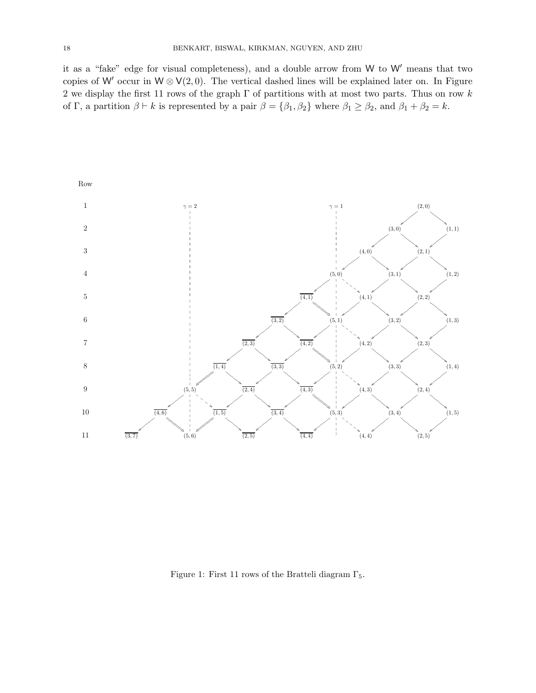it as a "fake" edge for visual completeness), and a double arrow from W to W′ means that two copies of W' occur in  $W \otimes V(2,0)$ . The vertical dashed lines will be explained later on. In Figure 2 we display the first 11 rows of the graph  $\Gamma$  of partitions with at most two parts. Thus on row  $k$ of Γ, a partition  $\beta \vdash k$  is represented by a pair  $\beta = {\beta_1, \beta_2}$  where  $\beta_1 \geq \beta_2$ , and  $\beta_1 + \beta_2 = k$ .



Figure 1: First 11 rows of the Bratteli diagram  $\Gamma_5$ .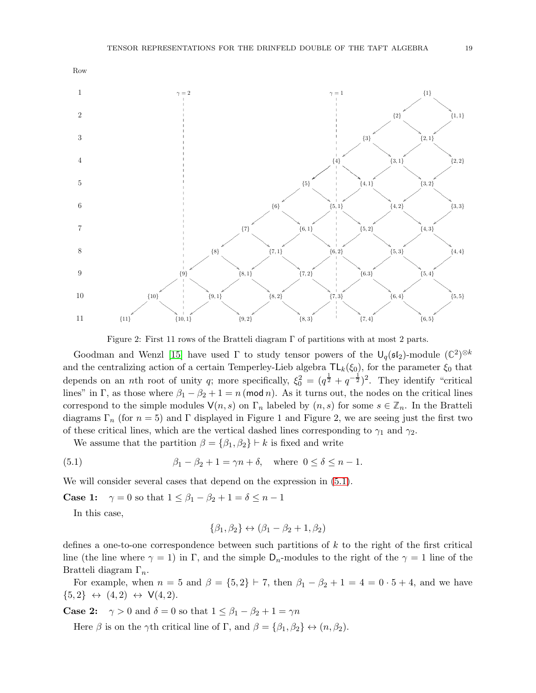

Figure 2: First 11 rows of the Bratteli diagram  $\Gamma$  of partitions with at most 2 parts.

Goodman and Wenzl [\[15\]](#page-25-17) have used  $\Gamma$  to study tensor powers of the  $\bigcup_q (\mathfrak{sl}_2)$ -module  $(\mathbb{C}^2)^{\otimes k}$ and the centralizing action of a certain Temperley-Lieb algebra  $TL_k(\xi_0)$ , for the parameter  $\xi_0$  that depends on an *n*th root of unity q; more specifically,  $\xi_0^2 = (q^{\frac{1}{2}} + q^{-\frac{1}{2}})^2$ . They identify "critical lines" in Γ, as those where  $\beta_1 - \beta_2 + 1 = n \pmod{n}$ . As it turns out, the nodes on the critical lines correspond to the simple modules  $\mathsf{V}(n, s)$  on  $\Gamma_n$  labeled by  $(n, s)$  for some  $s \in \mathbb{Z}_n$ . In the Bratteli diagrams  $\Gamma_n$  (for  $n = 5$ ) and  $\Gamma$  displayed in Figure 1 and Figure 2, we are seeing just the first two of these critical lines, which are the vertical dashed lines corresponding to  $\gamma_1$  and  $\gamma_2$ .

We assume that the partition  $\beta = {\beta_1, \beta_2} \vdash k$  is fixed and write

(5.1) 
$$
\beta_1 - \beta_2 + 1 = \gamma n + \delta, \text{ where } 0 \le \delta \le n - 1.
$$

We will consider several cases that depend on the expression in  $(5.1)$ .

**Case 1:**  $\gamma = 0$  so that  $1 \leq \beta_1 - \beta_2 + 1 = \delta \leq n - 1$ 

In this case,

<span id="page-18-0"></span>
$$
\{\beta_1,\beta_2\} \leftrightarrow (\beta_1-\beta_2+1,\beta_2)
$$

defines a one-to-one correspondence between such partitions of k to the right of the first critical line (the line where  $\gamma = 1$ ) in Γ, and the simple D<sub>n</sub>-modules to the right of the  $\gamma = 1$  line of the Bratteli diagram  $\Gamma_n$ .

For example, when  $n = 5$  and  $\beta = \{5, 2\} \vdash 7$ , then  $\beta_1 - \beta_2 + 1 = 4 = 0 \cdot 5 + 4$ , and we have  $\{5,2\} \leftrightarrow (4,2) \leftrightarrow V(4,2).$ 

**Case 2:**  $\gamma > 0$  and  $\delta = 0$  so that  $1 \leq \beta_1 - \beta_2 + 1 = \gamma n$ 

Here  $\beta$  is on the  $\gamma$ th critical line of Γ, and  $\beta = {\beta_1, \beta_2} \leftrightarrow (n, \beta_2)$ .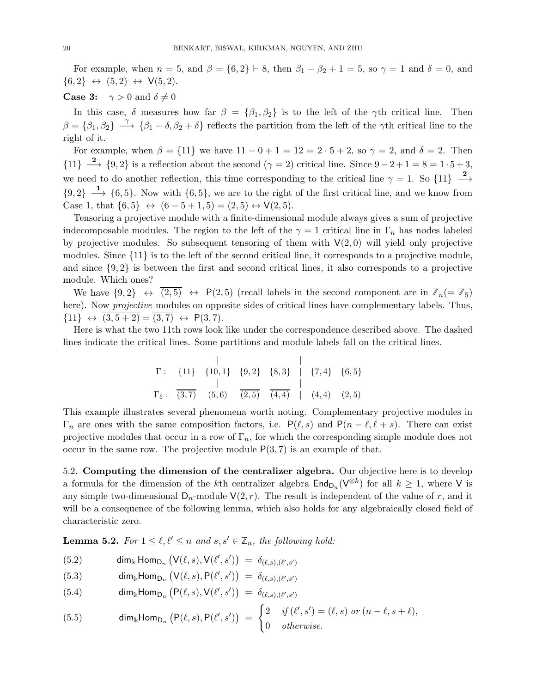For example, when  $n = 5$ , and  $\beta = \{6, 2\} \vdash 8$ , then  $\beta_1 - \beta_2 + 1 = 5$ , so  $\gamma = 1$  and  $\delta = 0$ , and  $\{6,2\} \leftrightarrow (5,2) \leftrightarrow V(5,2).$ 

**Case 3:**  $\gamma > 0$  and  $\delta \neq 0$ 

In this case,  $\delta$  measures how far  $\beta = {\beta_1, \beta_2}$  is to the left of the γth critical line. Then  $\beta = {\beta_1, \beta_2} \longrightarrow {\beta_1 - \delta, \beta_2 + \delta}$  reflects the partition from the left of the  $\gamma$ th critical line to the right of it.

For example, when  $\beta = \{11\}$  we have  $11 - 0 + 1 = 12 = 2 \cdot 5 + 2$ , so  $\gamma = 2$ , and  $\delta = 2$ . Then  ${11} \longrightarrow {9, 2}$  is a reflection about the second  $(\gamma = 2)$  critical line. Since  $9-2+1=8=1\cdot 5+3$ , we need to do another reflection, this time corresponding to the critical line  $\gamma = 1$ . So  $\{11\}$   $\frac{2}{\sqrt{3}}$ −→  ${9, 2}$   $\longrightarrow$  {6,5}. Now with {6,5}, we are to the right of the first critical line, and we know from Case 1, that  $\{6, 5\}$  ⇔  $(6-5+1, 5) = (2, 5)$  ↔  $V(2, 5)$ .

Tensoring a projective module with a finite-dimensional module always gives a sum of projective indecomposable modules. The region to the left of the  $\gamma = 1$  critical line in  $\Gamma_n$  has nodes labeled by projective modules. So subsequent tensoring of them with  $V(2,0)$  will yield only projective modules. Since {11} is to the left of the second critical line, it corresponds to a projective module, and since  $\{9, 2\}$  is between the first and second critical lines, it also corresponds to a projective module. Which ones?

We have  $\{9,2\} \leftrightarrow (2,5) \leftrightarrow P(2,5)$  (recall labels in the second component are in  $\mathbb{Z}_n(=\mathbb{Z}_5)$ here). Now *projective* modules on opposite sides of critical lines have complementary labels. Thus,  ${11} \leftrightarrow (3, 5 + 2) = (3, 7) \leftrightarrow P(3, 7).$ 

Here is what the two 11th rows look like under the correspondence described above. The dashed lines indicate the critical lines. Some partitions and module labels fall on the critical lines.

$$
\Gamma: \{11\} \{10,1\} \{9,2\} \{8,3\} \mid \{7,4\} \{6,5\}
$$
\n
$$
\Gamma_5: \overline{(3,7)} \{5,6\} \overline{(2,5)} \overline{(4,4)} \mid (4,4) \{2,5\}
$$

This example illustrates several phenomena worth noting. Complementary projective modules in  $\Gamma_n$  are ones with the same composition factors, i.e.  $P(\ell, s)$  and  $P(n - \ell, \ell + s)$ . There can exist projective modules that occur in a row of  $\Gamma_n$ , for which the corresponding simple module does not occur in the same row. The projective module  $P(3, 7)$  is an example of that.

5.2. Computing the dimension of the centralizer algebra. Our objective here is to develop a formula for the dimension of the kth centralizer algebra  $\text{End}_{D_n}(V^{\otimes k})$  for all  $k \geq 1$ , where V is any simple two-dimensional  $D_n$ -module  $V(2, r)$ . The result is independent of the value of r, and it will be a consequence of the following lemma, which also holds for any algebraically closed field of characteristic zero.

**Lemma 5.2.** For  $1 \leq \ell, \ell' \leq n$  and  $s, s' \in \mathbb{Z}_n$ , the following hold:

(5.2) 
$$
\dim_{\mathbb{k}} \text{Hom}_{D_n} \left( \text{V}(\ell, s), \text{V}(\ell', s') \right) = \delta_{(\ell, s), (\ell', s')}
$$

<span id="page-19-0"></span>(5.3) 
$$
\dim_{\mathbb{k}} \text{Hom}_{D_n} \left( \text{V}(\ell, s), \text{P}(\ell', s') \right) = \delta_{(\ell, s), (\ell', s')}
$$

<span id="page-19-1"></span>(5.4) 
$$
\dim_{\mathbb{k}} \text{Hom}_{D_n} \left( P(\ell, s), V(\ell', s') \right) = \delta_{(\ell, s), (\ell', s')}
$$

<span id="page-19-2"></span>(5.5) 
$$
\dim_{\mathbb{k}} \text{Hom}_{D_n} (P(\ell, s), P(\ell', s')) = \begin{cases} 2 & \text{if } (\ell', s') = (\ell, s) \text{ or } (n - \ell, s + \ell), \\ 0 & \text{otherwise.} \end{cases}
$$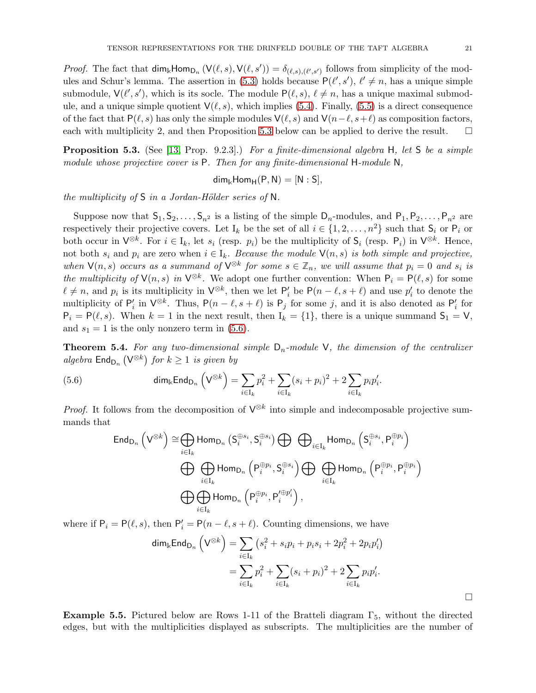*Proof.* The fact that  $\dim_{\mathbb{R}}\text{Hom}_{D_n}(V(\ell, s), V(\ell, s')) = \delta_{(\ell, s),(\ell', s')}$  follows from simplicity of the mod-ules and Schur's lemma. The assertion in [\(5.3\)](#page-19-0) holds because  $P(\ell', s')$ ,  $\ell' \neq n$ , has a unique simple submodule,  $\mathsf{V}(\ell', s')$ , which is its socle. The module  $\mathsf{P}(\ell, s)$ ,  $\ell \neq n$ , has a unique maximal submodule, and a unique simple quotient  $V(\ell, s)$ , which implies [\(5.4\)](#page-19-1). Finally, [\(5.5\)](#page-19-2) is a direct consequence of the fact that P( $\ell$ , s) has only the simple modules  $\mathsf{V}(\ell, s)$  and  $\mathsf{V}(n-\ell, s+\ell)$  as composition factors, each with multiplicity 2, and then Proposition 5.3 below can be applied to derive the result.  $\Box$ each with multiplicity 2, and then Proposition [5.3](#page-20-2) below can be applied to derive the result.

<span id="page-20-2"></span>**Proposition 5.3.** (See [\[13,](#page-25-0) Prop. 9.2.3].) For a finite-dimensional algebra H, let S be a simple module whose projective cover is P. Then for any finite-dimensional H-module N,

$$
\mathsf{dim}_{\Bbbk}\mathsf{Hom}_{\mathsf{H}}(\mathsf{P},\mathsf{N})=[\mathsf{N}:\mathsf{S}],
$$

the multiplicity of  $S$  in a Jordan-Hölder series of  $N$ .

Suppose now that  $S_1, S_2, \ldots, S_{n^2}$  is a listing of the simple  $D_n$ -modules, and  $P_1, P_2, \ldots, P_{n^2}$  are respectively their projective covers. Let I<sub>k</sub> be the set of all  $i \in \{1, 2, ..., n^2\}$  such that  $S_i$  or  $P_i$  or both occur in  $\mathsf{V}^{\otimes k}$ . For  $i \in I_k$ , let  $s_i$  (resp.  $p_i$ ) be the multiplicity of  $\mathsf{S}_i$  (resp.  $\mathsf{P}_i$ ) in  $\mathsf{V}^{\otimes k}$ . Hence, not both  $s_i$  and  $p_i$  are zero when  $i \in I_k$ . Because the module  $\mathsf{V}(n, s)$  is both simple and projective, when  $\mathsf{V}(n, s)$  occurs as a summand of  $\mathsf{V}^{\otimes k}$  for some  $s \in \mathbb{Z}_n$ , we will assume that  $p_i = 0$  and  $s_i$  is the multiplicity of  $\mathsf{V}(n,s)$  in  $\mathsf{V}^{\otimes k}$ . We adopt one further convention: When  $\mathsf{P}_i = \mathsf{P}(\ell, s)$  for some  $\ell \neq n$ , and  $p_i$  is its multiplicity in  $\mathsf{V}^{\otimes k}$ , then we let  $\mathsf{P}'_i$  be  $\mathsf{P}(n-\ell, s+\ell)$  and use  $p'_i$  to denote the multiplicity of  $P'_i$  in  $\mathsf{V}^{\otimes k}$ . Thus,  $\mathsf{P}(n-\ell, s+\ell)$  is  $\mathsf{P}_j$  for some j, and it is also denoted as  $\mathsf{P}'_i$  for  $P_i = P(\ell, s)$ . When  $k = 1$  in the next result, then  $I_k = \{1\}$ , there is a unique summand  $S_1 = V$ , and  $s_1 = 1$  is the only nonzero term in [\(5.6\)](#page-20-3).

<span id="page-20-0"></span>**Theorem 5.4.** For any two-dimensional simple  $D_n$ -module V, the dimension of the centralizer algebra  $\mathsf{End}_{\mathsf{D}_n}(\mathsf{V}^{\otimes k})$  for  $k \geq 1$  is given by

(5.6) 
$$
\dim_{\mathbb{k}} \text{End}_{D_n} \left( V^{\otimes k} \right) = \sum_{i \in I_k} p_i^2 + \sum_{i \in I_k} (s_i + p_i)^2 + 2 \sum_{i \in I_k} p_i p_i'.
$$

*Proof.* It follows from the decomposition of  $\mathsf{V}^{\otimes k}$  into simple and indecomposable projective summands that

<span id="page-20-3"></span>
$$
\begin{split} \operatorname{End}_{\operatorname{D}_n}\left(\mathsf{V}^{\otimes k}\right) &\cong \bigoplus_{i\in \operatorname{I}_k}\operatorname{Hom}_{\operatorname{D}_n}\left(\operatorname{S}_{i}^{\oplus s_{i}},\operatorname{S}_{i}^{\oplus s_{i}}\right) \bigoplus \bigoplus_{i\in \operatorname{I}_k}\operatorname{Hom}_{\operatorname{D}_n}\left(\operatorname{S}_{i}^{\oplus s_{i}},\operatorname{P}_{i}^{\oplus p_{i}}\right)\\ &\qquad \bigoplus \bigoplus_{i\in \operatorname{I}_k}\operatorname{Hom}_{\operatorname{D}_n}\left(\operatorname{P}_{i}^{\oplus p_{i}},\operatorname{S}_{i}^{\oplus s_{i}}\right) \bigoplus \bigoplus_{i\in \operatorname{I}_k}\operatorname{Hom}_{\operatorname{D}_n}\left(\operatorname{P}_{i}^{\oplus p_{i}},\operatorname{P}_{i}^{\oplus p_{i}}\right)\\ &\qquad \bigoplus \bigoplus_{i\in \operatorname{I}_k}\operatorname{Hom}_{\operatorname{D}_n}\left(\operatorname{P}_{i}^{\oplus p_{i}},\operatorname{P}_{i}^{\prime\oplus p_{i}'}\right), \end{split}
$$

where if  $P_i = P(\ell, s)$ , then  $P'_i = P(n - \ell, s + \ell)$ . Counting dimensions, we have

$$
\dim_{\mathbb{k}} \text{End}_{\mathsf{D}_n} \left( \mathsf{V}^{\otimes k} \right) = \sum_{i \in \mathsf{I}_k} \left( s_i^2 + s_i p_i + p_i s_i + 2 p_i^2 + 2 p_i p_i' \right)
$$
\n
$$
= \sum_{i \in \mathsf{I}_k} p_i^2 + \sum_{i \in \mathsf{I}_k} (s_i + p_i)^2 + 2 \sum_{i \in \mathsf{I}_k} p_i p_i'.
$$

<span id="page-20-1"></span>Example 5.5. Pictured below are Rows 1-11 of the Bratteli diagram  $\Gamma_5$ , without the directed edges, but with the multiplicities displayed as subscripts. The multiplicities are the number of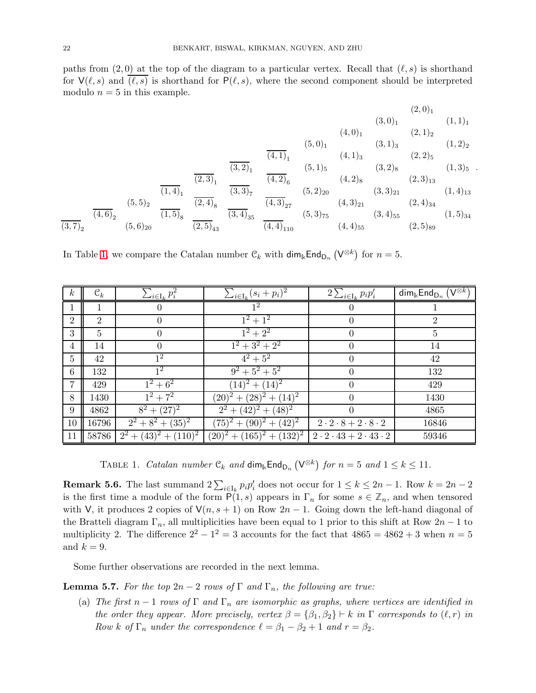paths from  $(2,0)$  at the top of the diagram to a particular vertex. Recall that  $(\ell, s)$  is shorthand for  $V(\ell, s)$  and  $(\ell, s)$  is shorthand for  $P(\ell, s)$ , where the second component should be interpreted modulo  $n = 5$  in this example.

$$
(2,0)1 (3,0)1 (3,0)1 (2,0)1 (1,1)1 (2,0)2 (1,1)1 (2,0)2 (2,0)1 (2,0)1 (2,0)2 (2,0)2 (2,0)2 (2,0)2 (2,0)2 (2,0)2 (2,0)2 (2,0)2 (2,1)2 (2,2)2 (2,2)2 (2,2)2 (2,2)2 (2,2)2 (2,2)2 (2,2)2 (2,2)2 (2,2)2 (2,2)2 (2,2)2 (2,2)2 (2,2)2 (2,2)2 (2,4)2 (2,4)2 (2,5)2 (2,6)2 (2,6)2 (2,6)2 (2,6)2 (2,6)2 (2,6)2 (2,6)2 (2,6)2 (2,6)2 (2,6)2 (2,6)2 (2,6)2 (2,6)2 (2,6)2 (2,6)2 (2,6)2 (2,6)2 (2,6)2 (2,6)2 (2,6)2 (2,6)2 (2,6)2 (2,6)2 (2,6)2 (2,6)2 (2,6)2 (2,6)2 (2,6)2 (2,6)2 (2,6)2 (2,6)2 (2,6)2 (2,6)2 (
$$

.

In Table [1,](#page-21-1) we compare the Catalan number  $\mathcal{C}_k$  with  $\dim_k \text{End}_{\mathsf{D}_n}(\mathsf{V}^{\otimes k})$  for  $n = 5$ .

| $\boldsymbol{k}$ | $\mathfrak{C}_k$ | $\sum_{i\in I_k} p_i^2$  | $\sum_{i\in I_k}(s_i+p_i)^2$          | $2\sum_{i\in\text{I}_k}p_ip'_i$           | $\dim_{\Bbbk}$ End <sub>Dn</sub> $\overline{(\mathsf{V}^{\otimes k})}$ |
|------------------|------------------|--------------------------|---------------------------------------|-------------------------------------------|------------------------------------------------------------------------|
|                  | 1                | 0                        | 1 <sup>2</sup>                        | $\theta$                                  |                                                                        |
| $\overline{2}$   | $\overline{2}$   | 0                        | $1^2 + 1^2$                           | 0                                         | $\overline{2}$                                                         |
| 3                | 5                | 0                        | $1^2 + 2^2$                           | $\theta$                                  | 5                                                                      |
| 4                | 14               | $\theta$                 | $1^2 + 3^2 + 2^2$                     | $\theta$                                  | 14                                                                     |
| $\overline{5}$   | 42               | $\overline{1^2}$         | $4^2 + 5^2$                           | $\theta$                                  | 42                                                                     |
| 6                | 132              | 1 <sup>2</sup>           | $9^2 + 5^2 + 5^2$                     | $\theta$                                  | 132                                                                    |
| $\overline{7}$   | 429              | $1^2 + 6^2$              | $\sqrt{(14)^2 + (14)^2}$              | $\theta$                                  | 429                                                                    |
| 8                | 1430             | $\overline{1^2} + 7^2$   | $(20)^{2} + (28)^{2} + (14)^{2}$      | $\theta$                                  | 1430                                                                   |
| 9                | 4862             | $8^2+(27)^2$             | $2^2 + (42)^2 + (48)^2$               | $\theta$                                  | 4865                                                                   |
| 10               | 16796            | $\sqrt{2^2+8^2+(35)^2}$  | $(75)^2 + (90)^2 + \overline{(42)^2}$ | $2\cdot 2\cdot 8 + 2\cdot 8\cdot 2$       | 16846                                                                  |
| 11               | 58786            | $2^2 + (43)^2 + (110)^2$ | $(20)^{2} + (165)^{2} + (132)^{2}$    | $2 \cdot 2 \cdot 43 + 2 \cdot 43 \cdot 2$ | 59346                                                                  |

<span id="page-21-1"></span>TABLE 1. *Catalan number*  $\mathcal{C}_k$  *and*  $\dim_k \text{End}_{\mathsf{D}_n} (\mathsf{V}^{\otimes k})$  *for*  $n = 5$  *and*  $1 \leq k \leq 11$ *.* 

**Remark 5.6.** The last summand  $2\sum_{i\in I_k} p_i p_i'$  does not occur for  $1 \leq k \leq 2n-1$ . Row  $k = 2n-2$ is the first time a module of the form  $P(1, s)$  appears in  $\Gamma_n$  for some  $s \in \mathbb{Z}_n$ , and when tensored with V, it produces 2 copies of  $V(n, s + 1)$  on Row  $2n - 1$ . Going down the left-hand diagonal of the Bratteli diagram  $\Gamma_n$ , all multiplicities have been equal to 1 prior to this shift at Row 2n – 1 to multiplicity 2. The difference  $2^2 - 1^2 = 3$  accounts for the fact that  $4865 = 4862 + 3$  when  $n = 5$ and  $k = 9$ .

Some further observations are recorded in the next lemma.

<span id="page-21-0"></span>**Lemma 5.7.** For the top  $2n - 2$  rows of  $\Gamma$  and  $\Gamma_n$ , the following are true:

(a) The first  $n-1$  rows of  $\Gamma$  and  $\Gamma_n$  are isomorphic as graphs, where vertices are identified in the order they appear. More precisely, vertex  $\beta = {\beta_1, \beta_2} \vdash k$  in  $\Gamma$  corresponds to  $(\ell, r)$  in Row k of  $\Gamma_n$  under the correspondence  $\ell = \beta_1 - \beta_2 + 1$  and  $r = \beta_2$ .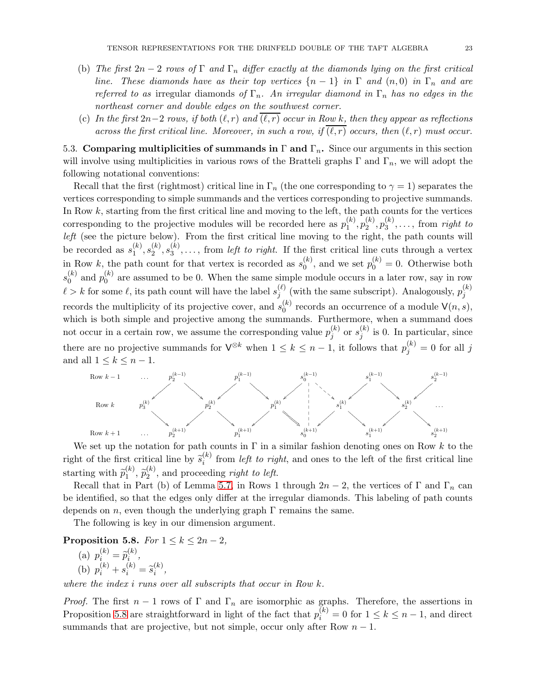- (b) The first  $2n-2$  rows of  $\Gamma$  and  $\Gamma_n$  differ exactly at the diamonds lying on the first critical line. These diamonds have as their top vertices  $\{n-1\}$  in  $\Gamma$  and  $(n,0)$  in  $\Gamma_n$  and are referred to as irregular diamonds of  $\Gamma_n$ . An irregular diamond in  $\Gamma_n$  has no edges in the northeast corner and double edges on the southwest corner.
- (c) In the first  $2n-2$  rows, if both  $(\ell, r)$  and  $(\ell, r)$  occur in Row k, then they appear as reflections across the first critical line. Moreover, in such a row, if  $(\ell, r)$  occurs, then  $(\ell, r)$  must occur.

5.3. Comparing multiplicities of summands in  $\Gamma$  and  $\Gamma_n$ . Since our arguments in this section will involve using multiplicities in various rows of the Bratteli graphs  $\Gamma$  and  $\Gamma_n$ , we will adopt the following notational conventions:

Recall that the first (rightmost) critical line in  $\Gamma_n$  (the one corresponding to  $\gamma = 1$ ) separates the vertices corresponding to simple summands and the vertices corresponding to projective summands. In Row k, starting from the first critical line and moving to the left, the path counts for the vertices corresponding to the projective modules will be recorded here as  $p_1^{(k)}$  $\binom{k}{1},p_2^{(k)}$  $\binom(k)}{2},p_3^{(k)}$  $s_3^{(k)}, \ldots$ , from right to left (see the picture below). From the first critical line moving to the right, the path counts will be recorded as  $s_1^{(k)}$  $\binom{k}{1},s_2^{(k)}$  $\genfrac{(}{)}{0pt}{}{(k)}{2},s_{3}^{(k)}$  $S_3^{(k)}, \ldots$ , from *left to right*. If the first critical line cuts through a vertex in Row k, the path count for that vertex is recorded as  $s_0^{(k)}$  $\mathbf{p}_0^{(k)}$ , and we set  $p_0^{(k)} = 0$ . Otherwise both  $s_0^{(k)}$  $\binom{k}{0}$  and  $p_0^{(k)}$  $\binom{6}{0}$  are assumed to be 0. When the same simple module occurs in a later row, say in row  $\ell > k$  for some  $\ell$ , its path count will have the label  $s_i^{(\ell)}$  $j^{(\ell)}$  (with the same subscript). Analogously,  $p_j^{(k)}$ j records the multiplicity of its projective cover, and  $s_0^{(k)}$  $\binom{k}{0}$  records an occurrence of a module  $\mathsf{V}(n, s)$ , which is both simple and projective among the summands. Furthermore, when a summand does not occur in a certain row, we assume the corresponding value  $p_i^{(k)}$  $\vert_{j}^{(k)}$  or  $s_{j}^{(k)}$  $j^{(k)}$  is 0. In particular, since there are no projective summands for  $\mathsf{V}^{\otimes k}$  when  $1 \leq k \leq n-1$ , it follows that  $p_j^{(k)} = 0$  for all j and all  $1 \leq k \leq n-1$ .



We set up the notation for path counts in  $\Gamma$  in a similar fashion denoting ones on Row k to the right of the first critical line by  $\tilde{s}_i^{(k)}$  $i<sup>(k)</sup>$  from *left to right*, and ones to the left of the first critical line starting with  $\widetilde{p}_1^{(k)}$  $\widetilde{p}_2^{(k)},\,\widetilde{p}_2^{(k)}$  $2^{(k)}$ , and proceeding right to left.

Recall that in Part (b) of Lemma [5.7,](#page-21-0) in Rows 1 through  $2n-2$ , the vertices of Γ and Γ<sub>n</sub> can be identified, so that the edges only differ at the irregular diamonds. This labeling of path counts depends on *n*, even though the underlying graph  $\Gamma$  remains the same.

The following is key in our dimension argument.

<span id="page-22-0"></span>Proposition 5.8. For  $1 \leq k \leq 2n-2$ ,

(a) 
$$
p_i^{(k)} = \tilde{p}_i^{(k)}
$$
,  
\n(b)  $p_i^{(k)} + s_i^{(k)} = \tilde{s}_i^{(k)}$ ,

where the index i runs over all subscripts that occur in Row k.

*Proof.* The first  $n-1$  rows of  $\Gamma$  and  $\Gamma_n$  are isomorphic as graphs. Therefore, the assertions in Proposition [5.8](#page-22-0) are straightforward in light of the fact that  $p_i^{(k)} = 0$  for  $1 \le k \le n - 1$ , and direct summands that are projective, but not simple, occur only after Row  $n - 1$ .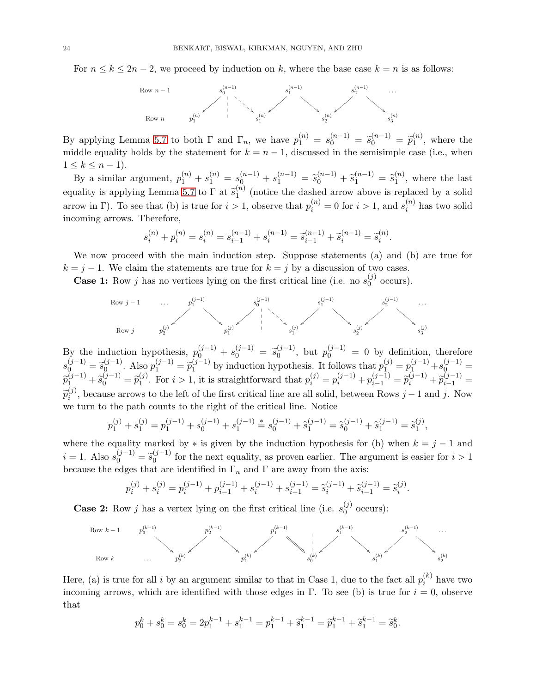For  $n \leq k \leq 2n-2$ , we proceed by induction on k, where the base case  $k = n$  is as follows:



By applying Lemma [5.7](#page-21-0) to both  $\Gamma$  and  $\Gamma_n$ , we have  $p_1^{(n)} = s_0^{(n-1)} = \tilde{s}_0^{(n-1)} = \tilde{p}_1^{(n)}$  $i^{(n)}_1$ , where the middle equality holds by the statement for  $k = n - 1$ , discussed in the semisimple case (i.e., when  $1 \leq k \leq n-1$ ).

By a similar argument,  $p_1^{(n)} + s_1^{(n)} = s_0^{(n-1)} + s_1^{(n-1)} = \tilde{s}_0^{(n-1)} + \tilde{s}_1^{(n-1)} = \tilde{s}_1^{(n)}$  $\binom{n}{1}$ , where the last equality is applying Lemma [5.7](#page-21-0) to  $\Gamma$  at  $\widetilde{s}_1^{(n)}$  $\binom{n}{1}$  (notice the dashed arrow above is replaced by a solid arrow in Γ). To see that (b) is true for  $i > 1$ , observe that  $p_i^{(n)} = 0$  for  $i > 1$ , and  $s_i^{(n)}$  $i^{(n)}$  has two solid incoming arrows. Therefore,

$$
s_i^{(n)} + p_i^{(n)} = s_i^{(n)} = s_{i-1}^{(n-1)} + s_i^{(n-1)} = \tilde{s}_{i-1}^{(n-1)} + \tilde{s}_i^{(n-1)} = \tilde{s}_i^{(n)}.
$$

We now proceed with the main induction step. Suppose statements (a) and (b) are true for  $k = j - 1$ . We claim the statements are true for  $k = j$  by a discussion of two cases.

**Case 1:** Row j has no vertices lying on the first critical line (i.e. no  $s_0^{(j)}$ )  $_{0}^{\circ}$  occurs).



By the induction hypothesis,  $p_0^{(j-1)} + s_0^{(j-1)} = \tilde{s}_0^{(j-1)}$  $\binom{(j-1)}{0}$ , but  $p_0^{(j-1)} = 0$  by definition, therefore  $s_0^{(j-1)} = \tilde{s}_0^{(j-1)}$ <br> $s_{(j-1)}^{(j-1)}$  $\widetilde{p}_1^{(j-1)}$ . Also  $p_1^{(j-1)} = \widetilde{p}_1^{(j-1)}$  $p_1^{(j-1)}$  by induction hypothesis. It follows that  $p_1^{(j)} = p_1^{(j-1)} + s_0^{(j-1)} =$  $\widetilde{p}_1^{(j-1)} + \widetilde{s}_0^{(j-1)} = \widetilde{p}_1^{(j)}$ (j). For  $i > 1$ , it is straightforward that  $p_i^{(j)} = p_i^{(j-1)} + p_{i-1}^{(j-1)} = \tilde{p}_i^{(j-1)} + \tilde{p}_{i-1}^{(j-1)} =$  $\widetilde{p}_i^{(j)}$  $i^{(j)}$ , because arrows to the left of the first critical line are all solid, between Rows  $j-1$  and j. Now we turn to the path counts to the right of the critical line. Notice

$$
p_1^{(j)} + s_1^{(j)} = p_1^{(j-1)} + s_0^{(j-1)} + s_1^{(j-1)} = s_0^{(j-1)} + \widetilde{s}_1^{(j-1)} = \widetilde{s}_0^{(j-1)} + \widetilde{s}_1^{(j-1)} = \widetilde{s}_1^{(j)},
$$

where the equality marked by  $*$  is given by the induction hypothesis for (b) when  $k = j - 1$  and  $i = 1$ . Also  $s_0^{(j-1)} = \tilde{s}_0^{(j-1)}$  $\binom{1}{0}$  for the next equality, as proven earlier. The argument is easier for  $i > 1$ because the edges that are identified in  $\Gamma_n$  and  $\Gamma$  are away from the axis:

$$
p_i^{(j)} + s_i^{(j)} = p_i^{(j-1)} + p_{i-1}^{(j-1)} + s_i^{(j-1)} + s_{i-1}^{(j-1)} = \tilde{s}_i^{(j-1)} + \tilde{s}_{i-1}^{(j-1)} = \tilde{s}_i^{(j)}.
$$

**Case 2:** Row j has a vertex lying on the first critical line (i.e.  $s_0^{(j)}$ )  $_{0}^{\circ}$  occurs):



Here, (a) is true for all i by an argument similar to that in Case 1, due to the fact all  $p_i^{(k)}$  $i^{(\kappa)}$  have two incoming arrows, which are identified with those edges in Γ. To see (b) is true for  $i = 0$ , observe that

$$
p_0^k + s_0^k = s_0^k = 2p_1^{k-1} + s_1^{k-1} = p_1^{k-1} + \tilde{s}_1^{k-1} = \tilde{p}_1^{k-1} + \tilde{s}_1^{k-1} = \tilde{s}_0^k.
$$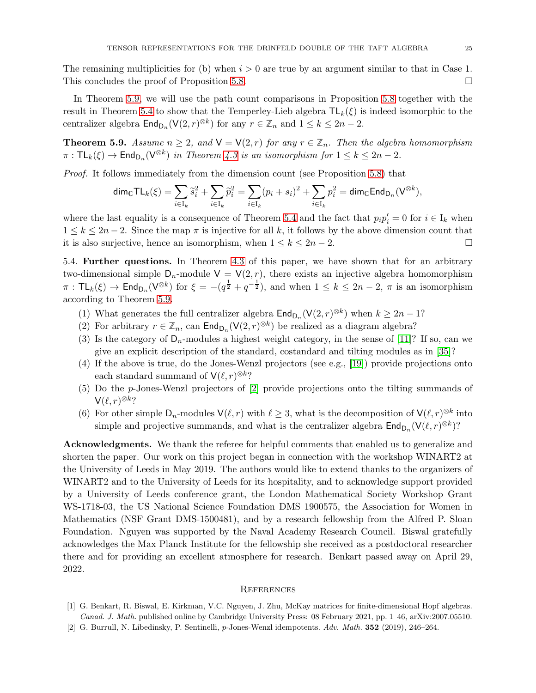The remaining multiplicities for (b) when  $i > 0$  are true by an argument similar to that in Case 1. This concludes the proof of Proposition [5.8.](#page-22-0)

In Theorem [5.9,](#page-24-1) we will use the path count comparisons in Proposition [5.8](#page-22-0) together with the result in Theorem [5.4](#page-20-0) to show that the Temperley-Lieb algebra  $TL_k(\xi)$  is indeed isomorphic to the centralizer algebra  $\text{End}_{\text{D}_n}(\mathsf{V}(2,r)^{\otimes k})$  for any  $r \in \mathbb{Z}_n$  and  $1 \leq k \leq 2n-2$ .

<span id="page-24-1"></span>**Theorem 5.9.** Assume  $n \geq 2$ , and  $V = V(2, r)$  for any  $r \in \mathbb{Z}_n$ . Then the algebra homomorphism  $\pi: \mathsf{TL}_k(\xi) \to \mathsf{End}_{\mathsf{D}_n}(\mathsf{V}^{\otimes k})$  in Theorem [4.3](#page-13-0) is an isomorphism for  $1 \leq k \leq 2n-2$ .

Proof. It follows immediately from the dimension count (see Proposition [5.8\)](#page-22-0) that

$$
\mathrm{dim}_{\mathbb{C}}\mathsf{TL}_k(\xi)=\sum_{i\in \mathcal{I}_k}\widetilde{s}_i^2+\sum_{i\in \mathcal{I}_k}\widetilde{p}_i^2=\sum_{i\in \mathcal{I}_k}(p_i+s_i)^2+\sum_{i\in \mathcal{I}_k}p_i^2=\mathrm{dim}_{\mathbb{C}}\mathsf{End}_{\mathsf{D}_n}(\mathsf{V}^{\otimes k}),
$$

where the last equality is a consequence of Theorem [5.4](#page-20-0) and the fact that  $p_i p_i' = 0$  for  $i \in I_k$  when  $1 \le k \le 2n-2$ . Since the map  $\pi$  is injective for all k, it follows by the above dimension count that it is also surjective, hence an isomorphism, when  $1 \le k \le 2n-2$ . □ it is also surjective, hence an isomorphism, when  $1 \leq k \leq 2n-2$ .

5.4. Further questions. In Theorem [4.3](#page-13-0) of this paper, we have shown that for an arbitrary two-dimensional simple  $D_n$ -module  $V = V(2, r)$ , there exists an injective algebra homomorphism  $\pi : TL_k(\xi) \to End_{D_n}(V^{\otimes k})$  for  $\xi = -(q^{\frac{1}{2}} + q^{-\frac{1}{2}})$ , and when  $1 \leq k \leq 2n-2$ ,  $\pi$  is an isomorphism according to Theorem [5.9.](#page-24-1)

- (1) What generates the full centralizer algebra  $\text{End}_{\text{D}_n}(\mathsf{V}(2,r)^{\otimes k})$  when  $k \geq 2n-1$ ?
- (2) For arbitrary  $r \in \mathbb{Z}_n$ , can  $\text{End}_{\mathsf{D}_n}(\mathsf{V}(2,r)^{\otimes k})$  be realized as a diagram algebra?
- (3) Is the category of  $D_n$ -modules a highest weight category, in the sense of [\[11\]](#page-25-25)? If so, can we give an explicit description of the standard, costandard and tilting modules as in [\[35\]](#page-26-5)?
- (4) If the above is true, do the Jones-Wenzl projectors (see e.g., [\[19\]](#page-25-13)) provide projections onto each standard summand of  $\mathsf{V}(\ell,r)^{\otimes k}$ ?
- (5) Do the p-Jones-Wenzl projectors of [\[2\]](#page-24-2) provide projections onto the tilting summands of  $\mathsf{V}(\ell,r)^{\otimes k}$ ?
- (6) For other simple  $D_n$ -modules  $\mathsf{V}(\ell,r)$  with  $\ell \geq 3$ , what is the decomposition of  $\mathsf{V}(\ell,r)^{\otimes k}$  into simple and projective summands, and what is the centralizer algebra  $\mathsf{End}_{\mathsf{D}_n}(\mathsf{V}(\ell,r)^{\otimes k})$ ?

Acknowledgments. We thank the referee for helpful comments that enabled us to generalize and shorten the paper. Our work on this project began in connection with the workshop WINART2 at the University of Leeds in May 2019. The authors would like to extend thanks to the organizers of WINART2 and to the University of Leeds for its hospitality, and to acknowledge support provided by a University of Leeds conference grant, the London Mathematical Society Workshop Grant WS-1718-03, the US National Science Foundation DMS 1900575, the Association for Women in Mathematics (NSF Grant DMS-1500481), and by a research fellowship from the Alfred P. Sloan Foundation. Nguyen was supported by the Naval Academy Research Council. Biswal gratefully acknowledges the Max Planck Institute for the fellowship she received as a postdoctoral researcher there and for providing an excellent atmosphere for research. Benkart passed away on April 29, 2022.

#### **REFERENCES**

- <span id="page-24-0"></span>[1] G. Benkart, R. Biswal, E. Kirkman, V.C. Nguyen, J. Zhu, McKay matrices for finite-dimensional Hopf algebras. Canad. J. Math. published online by Cambridge University Press: 08 February 2021, pp. 1–46, arXiv:2007.05510.
- <span id="page-24-2"></span>[2] G. Burrull, N. Libedinsky, P. Sentinelli, p-Jones-Wenzl idempotents. Adv. Math. 352 (2019), 246–264.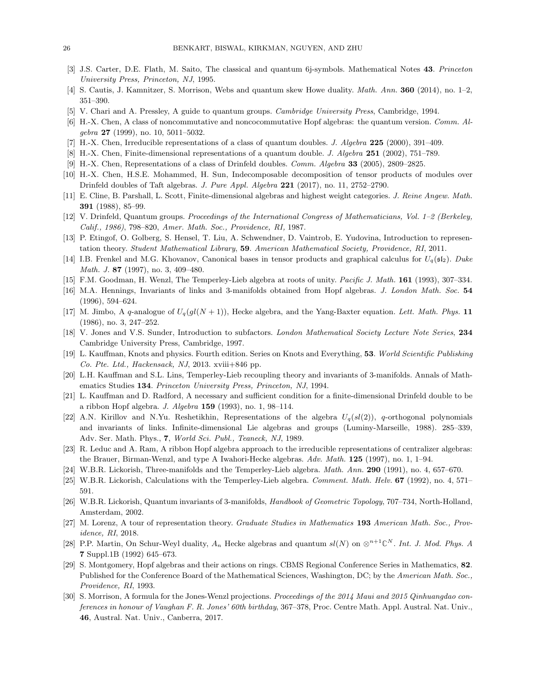- <span id="page-25-12"></span><span id="page-25-11"></span>[3] J.S. Carter, D.E. Flath, M. Saito, The classical and quantum 6j-symbols. Mathematical Notes 43. Princeton University Press, Princeton, NJ, 1995.
- <span id="page-25-16"></span>[4] S. Cautis, J. Kamnitzer, S. Morrison, Webs and quantum skew Howe duality. Math. Ann. 360 (2014), no. 1–2, 351–390.
- <span id="page-25-4"></span>[5] V. Chari and A. Pressley, A guide to quantum groups. Cambridge University Press, Cambridge, 1994.
- <span id="page-25-18"></span>[6] H.-X. Chen, A class of noncommutative and noncocommutative Hopf algebras: the quantum version. Comm. Al $gebra$  27 (1999), no. 10, 5011-5032.
- <span id="page-25-19"></span>[7] H.-X. Chen, Irreducible representations of a class of quantum doubles. J. Algebra 225 (2000), 391–409.
- [8] H.-X. Chen, Finite-dimensional representations of a quantum double. J. Algebra 251 (2002), 751–789.
- <span id="page-25-5"></span>[9] H.-X. Chen, Representations of a class of Drinfeld doubles. Comm. Algebra 33 (2005), 2809–2825.
- <span id="page-25-25"></span>[10] H.-X. Chen, H.S.E. Mohammed, H. Sun, Indecomposable decomposition of tensor products of modules over Drinfeld doubles of Taft algebras. J. Pure Appl. Algebra 221 (2017), no. 11, 2752–2790.
- <span id="page-25-3"></span>[11] E. Cline, B. Parshall, L. Scott, Finite-dimensional algebras and highest weight categories. J. Reine Angew. Math. 391 (1988), 85–99.
- <span id="page-25-0"></span>[12] V. Drinfeld, Quantum groups. Proceedings of the International Congress of Mathematicians, Vol. 1–2 (Berkeley, Calif., 1986), 798–820, Amer. Math. Soc., Providence, RI, 1987.
- <span id="page-25-10"></span>[13] P. Etingof, O. Golberg, S. Hensel, T. Liu, A. Schwendner, D. Vaintrob, E. Yudovina, Introduction to representation theory. Student Mathematical Library, 59. American Mathematical Society, Providence, RI, 2011.
- <span id="page-25-17"></span>[14] I.B. Frenkel and M.G. Khovanov, Canonical bases in tensor products and graphical calculus for  $U_q(\mathfrak{sl}_2)$ . Duke Math. J. 87 (1997), no. 3, 409-480.
- <span id="page-25-6"></span>[15] F.M. Goodman, H. Wenzl, The Temperley-Lieb algebra at roots of unity. Pacific J. Math. 161 (1993), 307–334.
- <span id="page-25-23"></span>[16] M.A. Hennings, Invariants of links and 3-manifolds obtained from Hopf algebras. J. London Math. Soc. 54 (1996), 594–624.
- [17] M. Jimbo, A q-analogue of  $U_q(gl(N+1))$ , Hecke algebra, and the Yang-Baxter equation. Lett. Math. Phys. 11 (1986), no. 3, 247–252.
- <span id="page-25-13"></span><span id="page-25-9"></span>[18] V. Jones and V.S. Sunder, Introduction to subfactors. London Mathematical Society Lecture Note Series, 234 Cambridge University Press, Cambridge, 1997.
- [19] L. Kauffman, Knots and physics. Fourth edition. Series on Knots and Everything, 53. World Scientific Publishing Co. Pte. Ltd., Hackensack, NJ, 2013. xviii+846 pp.
- <span id="page-25-14"></span><span id="page-25-1"></span>[20] L.H. Kauffman and S.L. Lins, Temperley-Lieb recoupling theory and invariants of 3-manifolds. Annals of Mathematics Studies 134. Princeton University Press, Princeton, NJ, 1994.
- <span id="page-25-15"></span>[21] L. Kauffman and D. Radford, A necessary and sufficient condition for a finite-dimensional Drinfeld double to be a ribbon Hopf algebra. J. Algebra 159 (1993), no. 1, 98–114.
- [22] A.N. Kirillov and N.Yu. Reshetikhin, Representations of the algebra  $U_q(sl(2))$ , q-orthogonal polynomials and invariants of links. Infinite-dimensional Lie algebras and groups (Luminy-Marseille, 1988). 285–339, Adv. Ser. Math. Phys., 7, World Sci. Publ., Teaneck, NJ, 1989.
- <span id="page-25-2"></span>[23] R. Leduc and A. Ram, A ribbon Hopf algebra approach to the irreducible representations of centralizer algebras: the Brauer, Birman-Wenzl, and type A Iwahori-Hecke algebras. Adv. Math. 125 (1997), no. 1, 1–94.
- <span id="page-25-7"></span>[24] W.B.R. Lickorish, Three-manifolds and the Temperley-Lieb algebra. Math. Ann. 290 (1991), no. 4, 657–670.
- <span id="page-25-8"></span>[25] W.B.R. Lickorish, Calculations with the Temperley-Lieb algebra. Comment. Math. Helv. 67 (1992), no. 4, 571-591.
- [26] W.B.R. Lickorish, Quantum invariants of 3-manifolds, Handbook of Geometric Topology, 707–734, North-Holland, Amsterdam, 2002.
- <span id="page-25-21"></span>[27] M. Lorenz, A tour of representation theory. Graduate Studies in Mathematics 193 American Math. Soc., Providence, RI, 2018.
- <span id="page-25-24"></span>[28] P.P. Martin, On Schur-Weyl duality,  $A_n$  Hecke algebras and quantum  $sl(N)$  on  $\otimes^{n+1}\mathbb{C}^N$ . Int. J. Mod. Phys. A 7 Suppl.1B (1992) 645–673.
- <span id="page-25-20"></span>[29] S. Montgomery, Hopf algebras and their actions on rings. CBMS Regional Conference Series in Mathematics, 82. Published for the Conference Board of the Mathematical Sciences, Washington, DC; by the American Math. Soc., Providence, RI, 1993.
- <span id="page-25-22"></span>[30] S. Morrison, A formula for the Jones-Wenzl projections. Proceedings of the 2014 Maui and 2015 Qinhuangdao conferences in honour of Vaughan F. R. Jones' 60th birthday, 367–378, Proc. Centre Math. Appl. Austral. Nat. Univ., 46, Austral. Nat. Univ., Canberra, 2017.